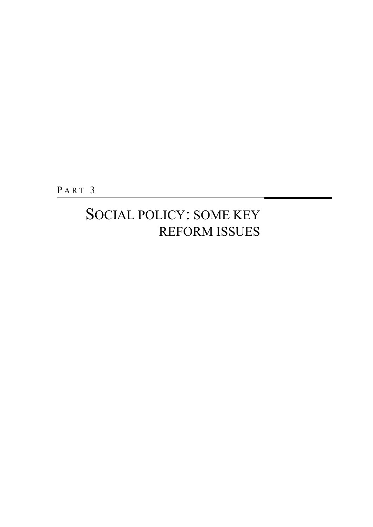PART<sub>3</sub>

### SOCIAL POLICY: SOME KEY REFORM ISSUES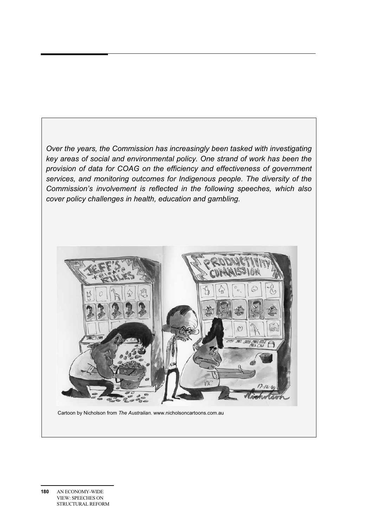*Over the years, the Commission has increasingly been tasked with investigating key areas of social and environmental policy. One strand of work has been the provision of data for COAG on the efficiency and effectiveness of government services, and monitoring outcomes for Indigenous people. The diversity of the Commission's involvement is reflected in the following speeches, which also cover policy challenges in health, education and gambling.* 



Cartoon by Nicholson from *The Australian*. www.nicholsoncartoons.com.au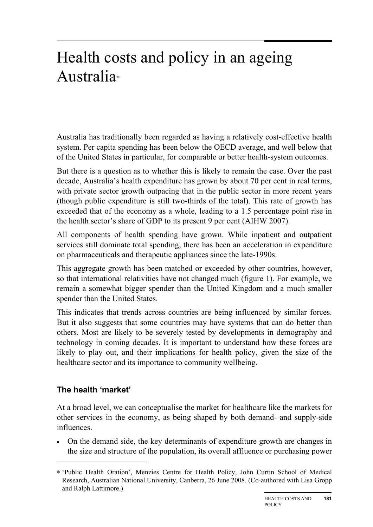### Health costs and policy in an ageing Australia<sup>∗</sup>

Australia has traditionally been regarded as having a relatively cost-effective health system. Per capita spending has been below the OECD average, and well below that of the United States in particular, for comparable or better health-system outcomes.

But there is a question as to whether this is likely to remain the case. Over the past decade, Australia's health expenditure has grown by about 70 per cent in real terms, with private sector growth outpacing that in the public sector in more recent years (though public expenditure is still two-thirds of the total). This rate of growth has exceeded that of the economy as a whole, leading to a 1.5 percentage point rise in the health sector's share of GDP to its present 9 per cent (AIHW 2007).

All components of health spending have grown. While inpatient and outpatient services still dominate total spending, there has been an acceleration in expenditure on pharmaceuticals and therapeutic appliances since the late-1990s.

This aggregate growth has been matched or exceeded by other countries, however, so that international relativities have not changed much (figure 1). For example, we remain a somewhat bigger spender than the United Kingdom and a much smaller spender than the United States.

This indicates that trends across countries are being influenced by similar forces. But it also suggests that some countries may have systems that can do better than others. Most are likely to be severely tested by developments in demography and technology in coming decades. It is important to understand how these forces are likely to play out, and their implications for health policy, given the size of the healthcare sector and its importance to community wellbeing.

#### **The health 'market'**

 $\overline{a}$ 

At a broad level, we can conceptualise the market for healthcare like the markets for other services in the economy, as being shaped by both demand- and supply-side influences.

• On the demand side, the key determinants of expenditure growth are changes in the size and structure of the population, its overall affluence or purchasing power

<sup>∗</sup> 'Public Health Oration', Menzies Centre for Health Policy, John Curtin School of Medical Research, Australian National University, Canberra, 26 June 2008. (Co-authored with Lisa Gropp and Ralph Lattimore.)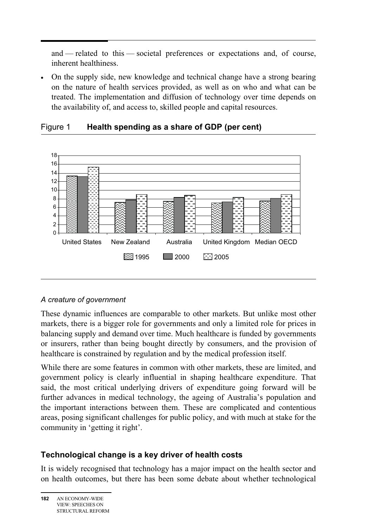and — related to this — societal preferences or expectations and, of course, inherent healthiness.

• On the supply side, new knowledge and technical change have a strong bearing on the nature of health services provided, as well as on who and what can be treated. The implementation and diffusion of technology over time depends on the availability of, and access to, skilled people and capital resources.



#### Figure 1 **Health spending as a share of GDP (per cent)**

#### *A creature of government*

These dynamic influences are comparable to other markets. But unlike most other markets, there is a bigger role for governments and only a limited role for prices in balancing supply and demand over time. Much healthcare is funded by governments or insurers, rather than being bought directly by consumers, and the provision of healthcare is constrained by regulation and by the medical profession itself.

While there are some features in common with other markets, these are limited, and government policy is clearly influential in shaping healthcare expenditure. That said, the most critical underlying drivers of expenditure going forward will be further advances in medical technology, the ageing of Australia's population and the important interactions between them. These are complicated and contentious areas, posing significant challenges for public policy, and with much at stake for the community in 'getting it right'.

#### **Technological change is a key driver of health costs**

It is widely recognised that technology has a major impact on the health sector and on health outcomes, but there has been some debate about whether technological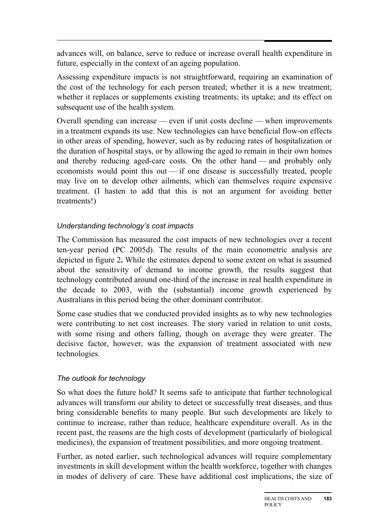advances will, on balance, serve to reduce or increase overall health expenditure in future, especially in the context of an ageing population.

Assessing expenditure impacts is not straightforward, requiring an examination of the cost of the technology for each person treated; whether it is a new treatment; whether it replaces or supplements existing treatments; its uptake; and its effect on subsequent use of the health system.

Overall spending can increase — even if unit costs decline — when improvements in a treatment expands its use. New technologies can have beneficial flow-on effects in other areas of spending, however, such as by reducing rates of hospitalization or the duration of hospital stays, or by allowing the aged to remain in their own homes and thereby reducing aged-care costs. On the other hand — and probably only economists would point this out — if one disease is successfully treated, people may live on to develop other ailments, which can themselves require expensive treatment. (I hasten to add that this is not an argument for avoiding better treatments!)

#### *Understanding technology's cost impacts*

The Commission has measured the cost impacts of new technologies over a recent ten-year period (PC 2005d). The results of the main econometric analysis are depicted in figure 2**.** While the estimates depend to some extent on what is assumed about the sensitivity of demand to income growth, the results suggest that technology contributed around one-third of the increase in real health expenditure in the decade to 2003, with the (substantial) income growth experienced by Australians in this period being the other dominant contributor.

Some case studies that we conducted provided insights as to why new technologies were contributing to net cost increases. The story varied in relation to unit costs, with some rising and others falling, though on average they were greater. The decisive factor, however, was the expansion of treatment associated with new technologies.

#### *The outlook for technology*

So what does the future hold? It seems safe to anticipate that further technological advances will transform our ability to detect or successfully treat diseases, and thus bring considerable benefits to many people. But such developments are likely to continue to increase, rather than reduce, healthcare expenditure overall. As in the recent past, the reasons are the high costs of development (particularly of biological medicines), the expansion of treatment possibilities, and more ongoing treatment.

Further, as noted earlier, such technological advances will require complementary investments in skill development within the health workforce, together with changes in modes of delivery of care. These have additional cost implications, the size of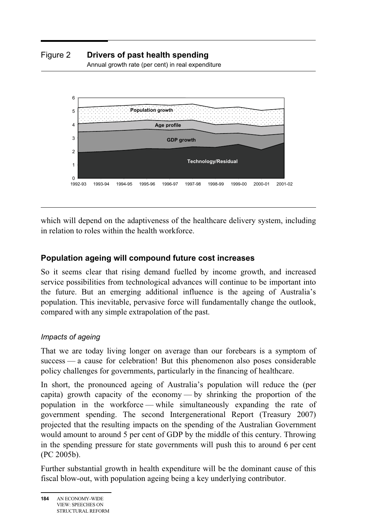#### Figure 2 **Drivers of past health spending**

Annual growth rate (per cent) in real expenditure



which will depend on the adaptiveness of the healthcare delivery system, including in relation to roles within the health workforce.

#### **Population ageing will compound future cost increases**

So it seems clear that rising demand fuelled by income growth, and increased service possibilities from technological advances will continue to be important into the future. But an emerging additional influence is the ageing of Australia's population. This inevitable, pervasive force will fundamentally change the outlook, compared with any simple extrapolation of the past.

#### *Impacts of ageing*

That we are today living longer on average than our forebears is a symptom of success — a cause for celebration! But this phenomenon also poses considerable policy challenges for governments, particularly in the financing of healthcare.

In short, the pronounced ageing of Australia's population will reduce the (per capita) growth capacity of the economy — by shrinking the proportion of the population in the workforce — while simultaneously expanding the rate of government spending. The second Intergenerational Report (Treasury 2007) projected that the resulting impacts on the spending of the Australian Government would amount to around 5 per cent of GDP by the middle of this century. Throwing in the spending pressure for state governments will push this to around 6 per cent (PC 2005b).

Further substantial growth in health expenditure will be the dominant cause of this fiscal blow-out, with population ageing being a key underlying contributor.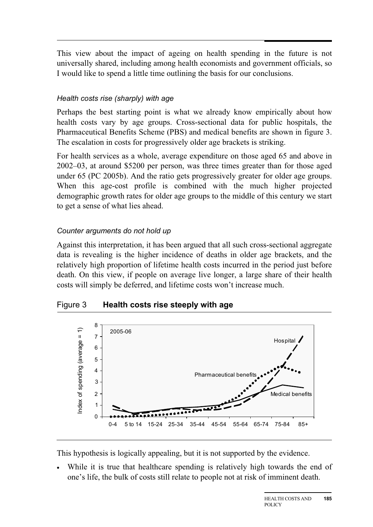$\overline{a}$ This view about the impact of ageing on health spending in the future is not universally shared, including among health economists and government officials, so I would like to spend a little time outlining the basis for our conclusions.

#### *Health costs rise (sharply) with age*

Perhaps the best starting point is what we already know empirically about how health costs vary by age groups. Cross-sectional data for public hospitals, the Pharmaceutical Benefits Scheme (PBS) and medical benefits are shown in figure 3. The escalation in costs for progressively older age brackets is striking.

For health services as a whole, average expenditure on those aged 65 and above in 2002–03, at around \$5200 per person, was three times greater than for those aged under 65 (PC 2005b). And the ratio gets progressively greater for older age groups. When this age-cost profile is combined with the much higher projected demographic growth rates for older age groups to the middle of this century we start to get a sense of what lies ahead.

#### *Counter arguments do not hold up*

Against this interpretation, it has been argued that all such cross-sectional aggregate data is revealing is the higher incidence of deaths in older age brackets, and the relatively high proportion of lifetime health costs incurred in the period just before death. On this view, if people on average live longer, a large share of their health costs will simply be deferred, and lifetime costs won't increase much.

#### Figure 3 **Health costs rise steeply with age**



This hypothesis is logically appealing, but it is not supported by the evidence.

• While it is true that healthcare spending is relatively high towards the end of one's life, the bulk of costs still relate to people not at risk of imminent death.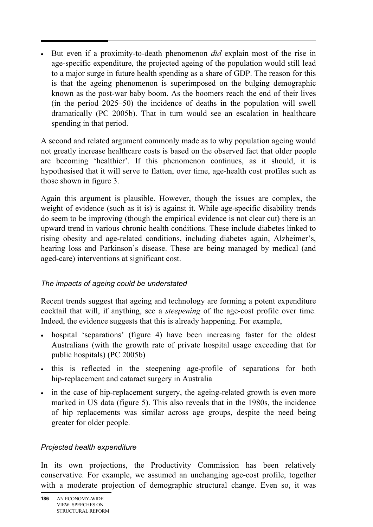• But even if a proximity-to-death phenomenon *did* explain most of the rise in age-specific expenditure, the projected ageing of the population would still lead to a major surge in future health spending as a share of GDP. The reason for this is that the ageing phenomenon is superimposed on the bulging demographic known as the post-war baby boom. As the boomers reach the end of their lives (in the period 2025–50) the incidence of deaths in the population will swell dramatically (PC 2005b). That in turn would see an escalation in healthcare spending in that period.

A second and related argument commonly made as to why population ageing would not greatly increase healthcare costs is based on the observed fact that older people are becoming 'healthier'. If this phenomenon continues, as it should, it is hypothesised that it will serve to flatten, over time, age-health cost profiles such as those shown in figure 3.

Again this argument is plausible. However, though the issues are complex, the weight of evidence (such as it is) is against it. While age-specific disability trends do seem to be improving (though the empirical evidence is not clear cut) there is an upward trend in various chronic health conditions. These include diabetes linked to rising obesity and age-related conditions, including diabetes again, Alzheimer's, hearing loss and Parkinson's disease. These are being managed by medical (and aged-care) interventions at significant cost.

#### *The impacts of ageing could be understated*

Recent trends suggest that ageing and technology are forming a potent expenditure cocktail that will, if anything, see a *steepening* of the age-cost profile over time. Indeed, the evidence suggests that this is already happening. For example,

- hospital 'separations' (figure 4) have been increasing faster for the oldest Australians (with the growth rate of private hospital usage exceeding that for public hospitals) (PC 2005b)
- this is reflected in the steepening age-profile of separations for both hip-replacement and cataract surgery in Australia
- in the case of hip-replacement surgery, the ageing-related growth is even more marked in US data (figure 5). This also reveals that in the 1980s, the incidence of hip replacements was similar across age groups, despite the need being greater for older people.

#### *Projected health expenditure*

In its own projections, the Productivity Commission has been relatively conservative. For example, we assumed an unchanging age-cost profile, together with a moderate projection of demographic structural change. Even so, it was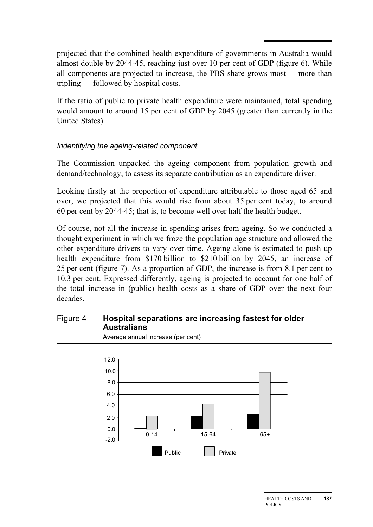projected that the combined health expenditure of governments in Australia would almost double by 2044-45, reaching just over 10 per cent of GDP (figure 6). While all components are projected to increase, the PBS share grows most — more than tripling — followed by hospital costs.

If the ratio of public to private health expenditure were maintained, total spending would amount to around 15 per cent of GDP by 2045 (greater than currently in the United States).

#### *Indentifying the ageing-related component*

The Commission unpacked the ageing component from population growth and demand/technology, to assess its separate contribution as an expenditure driver.

Looking firstly at the proportion of expenditure attributable to those aged 65 and over, we projected that this would rise from about 35 per cent today, to around 60 per cent by 2044-45; that is, to become well over half the health budget.

Of course, not all the increase in spending arises from ageing. So we conducted a thought experiment in which we froze the population age structure and allowed the other expenditure drivers to vary over time. Ageing alone is estimated to push up health expenditure from \$170 billion to \$210 billion by 2045, an increase of 25 per cent (figure 7). As a proportion of GDP, the increase is from 8.1 per cent to 10.3 per cent. Expressed differently, ageing is projected to account for one half of the total increase in (public) health costs as a share of GDP over the next four decades.

#### Figure 4 **Hospital separations are increasing fastest for older Australians**

Average annual increase (per cent)

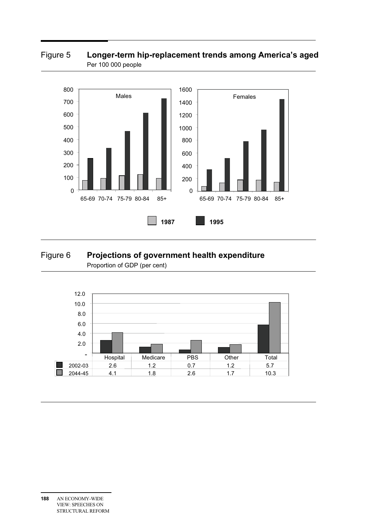#### Figure 5 **Longer-term hip-replacement trends among America's aged** Per 100 000 people



#### Figure 6 **Projections of government health expenditure**  Proportion of GDP (per cent)

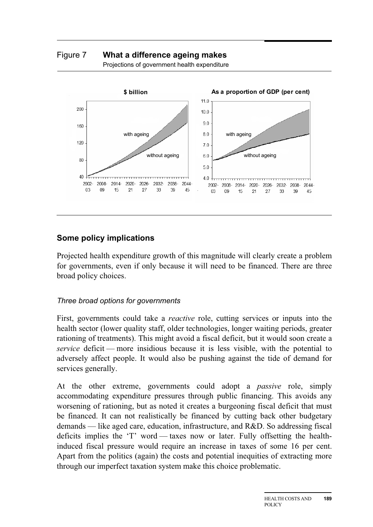Figure 7 **What a difference ageing makes** 





#### **Some policy implications**

Projected health expenditure growth of this magnitude will clearly create a problem for governments, even if only because it will need to be financed. There are three broad policy choices.

#### *Three broad options for governments*

First, governments could take a *reactive* role, cutting services or inputs into the health sector (lower quality staff, older technologies, longer waiting periods, greater rationing of treatments). This might avoid a fiscal deficit, but it would soon create a *service* deficit — more insidious because it is less visible, with the potential to adversely affect people. It would also be pushing against the tide of demand for services generally.

At the other extreme, governments could adopt a *passive* role, simply accommodating expenditure pressures through public financing. This avoids any worsening of rationing, but as noted it creates a burgeoning fiscal deficit that must be financed. It can not realistically be financed by cutting back other budgetary demands — like aged care, education, infrastructure, and R&D. So addressing fiscal deficits implies the 'T' word — taxes now or later. Fully offsetting the healthinduced fiscal pressure would require an increase in taxes of some 16 per cent. Apart from the politics (again) the costs and potential inequities of extracting more through our imperfect taxation system make this choice problematic.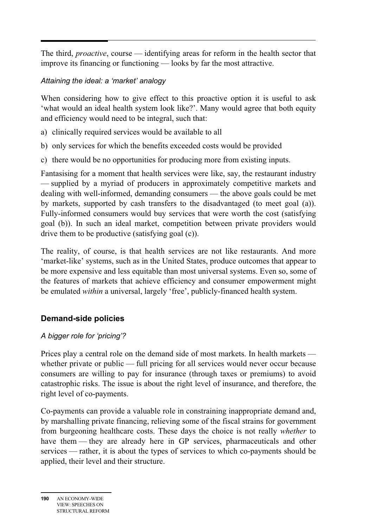$\overline{a}$ The third, *proactive*, course — identifying areas for reform in the health sector that improve its financing or functioning — looks by far the most attractive.

#### *Attaining the ideal: a 'market' analogy*

When considering how to give effect to this proactive option it is useful to ask 'what would an ideal health system look like?'. Many would agree that both equity and efficiency would need to be integral, such that:

- a) clinically required services would be available to all
- b) only services for which the benefits exceeded costs would be provided
- c) there would be no opportunities for producing more from existing inputs.

Fantasising for a moment that health services were like, say, the restaurant industry — supplied by a myriad of producers in approximately competitive markets and dealing with well-informed, demanding consumers — the above goals could be met by markets, supported by cash transfers to the disadvantaged (to meet goal (a)). Fully-informed consumers would buy services that were worth the cost (satisfying goal (b)). In such an ideal market, competition between private providers would drive them to be productive (satisfying goal (c)).

The reality, of course, is that health services are not like restaurants. And more 'market-like' systems, such as in the United States, produce outcomes that appear to be more expensive and less equitable than most universal systems. Even so, some of the features of markets that achieve efficiency and consumer empowerment might be emulated *within* a universal, largely 'free', publicly-financed health system.

#### **Demand-side policies**

#### *A bigger role for 'pricing'?*

Prices play a central role on the demand side of most markets. In health markets whether private or public — full pricing for all services would never occur because consumers are willing to pay for insurance (through taxes or premiums) to avoid catastrophic risks. The issue is about the right level of insurance, and therefore, the right level of co-payments.

Co-payments can provide a valuable role in constraining inappropriate demand and, by marshalling private financing, relieving some of the fiscal strains for government from burgeoning healthcare costs. These days the choice is not really *whether* to have them — they are already here in GP services, pharmaceuticals and other services — rather, it is about the types of services to which co-payments should be applied, their level and their structure.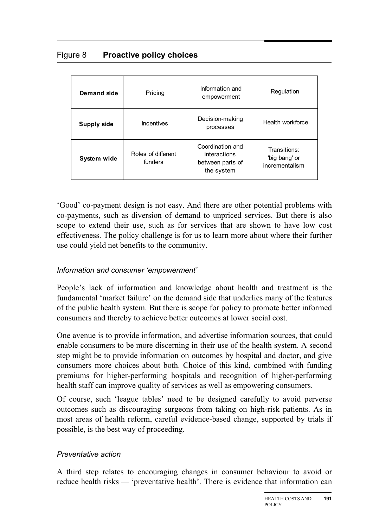| <b>Demand side</b> | Pricing                       | Information and<br>empowerment                                     | Regulation                                      |
|--------------------|-------------------------------|--------------------------------------------------------------------|-------------------------------------------------|
| <b>Supply side</b> | Incentives                    | Decision-making<br>processes                                       | Health workforce                                |
| System wide        | Roles of different<br>funders | Coordination and<br>interactions<br>between parts of<br>the system | Transitions:<br>'big bang' or<br>incrementalism |

'Good' co-payment design is not easy. And there are other potential problems with co-payments, such as diversion of demand to unpriced services. But there is also scope to extend their use, such as for services that are shown to have low cost effectiveness. The policy challenge is for us to learn more about where their further use could yield net benefits to the community.

#### *Information and consumer 'empowerment'*

People's lack of information and knowledge about health and treatment is the fundamental 'market failure' on the demand side that underlies many of the features of the public health system. But there is scope for policy to promote better informed consumers and thereby to achieve better outcomes at lower social cost.

One avenue is to provide information, and advertise information sources, that could enable consumers to be more discerning in their use of the health system. A second step might be to provide information on outcomes by hospital and doctor, and give consumers more choices about both. Choice of this kind, combined with funding premiums for higher-performing hospitals and recognition of higher-performing health staff can improve quality of services as well as empowering consumers.

Of course, such 'league tables' need to be designed carefully to avoid perverse outcomes such as discouraging surgeons from taking on high-risk patients. As in most areas of health reform, careful evidence-based change, supported by trials if possible, is the best way of proceeding.

#### *Preventative action*

A third step relates to encouraging changes in consumer behaviour to avoid or reduce health risks — 'preventative health'. There is evidence that information can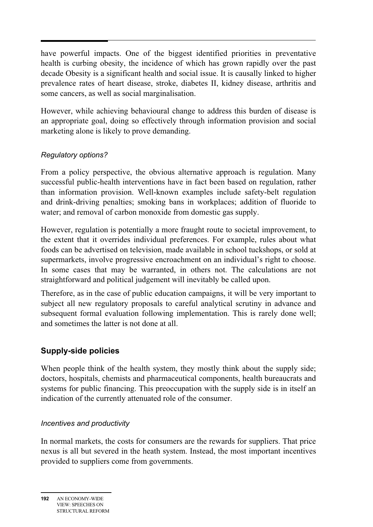$\overline{a}$ have powerful impacts. One of the biggest identified priorities in preventative health is curbing obesity, the incidence of which has grown rapidly over the past decade Obesity is a significant health and social issue. It is causally linked to higher prevalence rates of heart disease, stroke, diabetes II, kidney disease, arthritis and some cancers, as well as social marginalisation.

However, while achieving behavioural change to address this burden of disease is an appropriate goal, doing so effectively through information provision and social marketing alone is likely to prove demanding.

#### *Regulatory options?*

From a policy perspective, the obvious alternative approach is regulation. Many successful public-health interventions have in fact been based on regulation, rather than information provision. Well-known examples include safety-belt regulation and drink-driving penalties; smoking bans in workplaces; addition of fluoride to water; and removal of carbon monoxide from domestic gas supply.

However, regulation is potentially a more fraught route to societal improvement, to the extent that it overrides individual preferences. For example, rules about what foods can be advertised on television, made available in school tuckshops, or sold at supermarkets, involve progressive encroachment on an individual's right to choose. In some cases that may be warranted, in others not. The calculations are not straightforward and political judgement will inevitably be called upon.

Therefore, as in the case of public education campaigns, it will be very important to subject all new regulatory proposals to careful analytical scrutiny in advance and subsequent formal evaluation following implementation. This is rarely done well; and sometimes the latter is not done at all.

#### **Supply-side policies**

When people think of the health system, they mostly think about the supply side; doctors, hospitals, chemists and pharmaceutical components, health bureaucrats and systems for public financing. This preoccupation with the supply side is in itself an indication of the currently attenuated role of the consumer.

#### *Incentives and productivity*

In normal markets, the costs for consumers are the rewards for suppliers. That price nexus is all but severed in the heath system. Instead, the most important incentives provided to suppliers come from governments.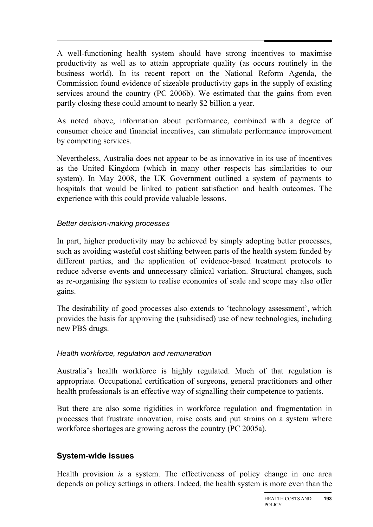A well-functioning health system should have strong incentives to maximise productivity as well as to attain appropriate quality (as occurs routinely in the business world). In its recent report on the National Reform Agenda, the Commission found evidence of sizeable productivity gaps in the supply of existing services around the country (PC 2006b). We estimated that the gains from even partly closing these could amount to nearly \$2 billion a year.

As noted above, information about performance, combined with a degree of consumer choice and financial incentives, can stimulate performance improvement by competing services.

Nevertheless, Australia does not appear to be as innovative in its use of incentives as the United Kingdom (which in many other respects has similarities to our system). In May 2008, the UK Government outlined a system of payments to hospitals that would be linked to patient satisfaction and health outcomes. The experience with this could provide valuable lessons.

#### *Better decision-making processes*

In part, higher productivity may be achieved by simply adopting better processes, such as avoiding wasteful cost shifting between parts of the health system funded by different parties, and the application of evidence-based treatment protocols to reduce adverse events and unnecessary clinical variation. Structural changes, such as re-organising the system to realise economies of scale and scope may also offer gains.

The desirability of good processes also extends to 'technology assessment', which provides the basis for approving the (subsidised) use of new technologies, including new PBS drugs.

#### *Health workforce, regulation and remuneration*

Australia's health workforce is highly regulated. Much of that regulation is appropriate. Occupational certification of surgeons, general practitioners and other health professionals is an effective way of signalling their competence to patients.

But there are also some rigidities in workforce regulation and fragmentation in processes that frustrate innovation, raise costs and put strains on a system where workforce shortages are growing across the country (PC 2005a).

#### **System-wide issues**

Health provision *is* a system. The effectiveness of policy change in one area depends on policy settings in others. Indeed, the health system is more even than the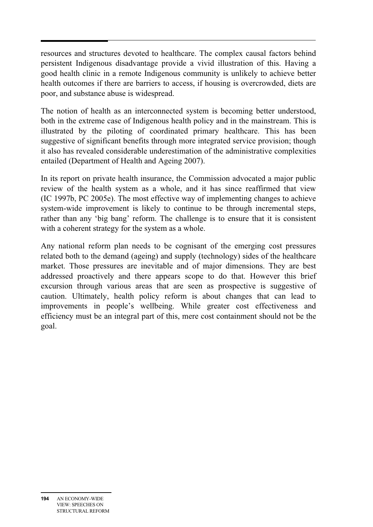resources and structures devoted to healthcare. The complex causal factors behind persistent Indigenous disadvantage provide a vivid illustration of this. Having a good health clinic in a remote Indigenous community is unlikely to achieve better health outcomes if there are barriers to access, if housing is overcrowded, diets are poor, and substance abuse is widespread.

The notion of health as an interconnected system is becoming better understood, both in the extreme case of Indigenous health policy and in the mainstream. This is illustrated by the piloting of coordinated primary healthcare. This has been suggestive of significant benefits through more integrated service provision; though it also has revealed considerable underestimation of the administrative complexities entailed (Department of Health and Ageing 2007).

In its report on private health insurance, the Commission advocated a major public review of the health system as a whole, and it has since reaffirmed that view (IC 1997b, PC 2005e). The most effective way of implementing changes to achieve system-wide improvement is likely to continue to be through incremental steps, rather than any 'big bang' reform. The challenge is to ensure that it is consistent with a coherent strategy for the system as a whole.

Any national reform plan needs to be cognisant of the emerging cost pressures related both to the demand (ageing) and supply (technology) sides of the healthcare market. Those pressures are inevitable and of major dimensions. They are best addressed proactively and there appears scope to do that. However this brief excursion through various areas that are seen as prospective is suggestive of caution. Ultimately, health policy reform is about changes that can lead to improvements in people's wellbeing. While greater cost effectiveness and efficiency must be an integral part of this, mere cost containment should not be the goal.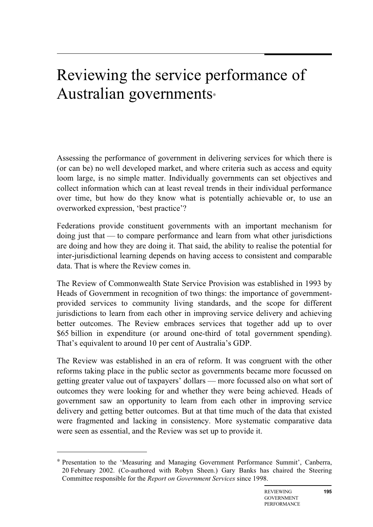### Reviewing the service performance of Australian governments<sup>∗</sup>

Assessing the performance of government in delivering services for which there is (or can be) no well developed market, and where criteria such as access and equity loom large, is no simple matter. Individually governments can set objectives and collect information which can at least reveal trends in their individual performance over time, but how do they know what is potentially achievable or, to use an overworked expression, 'best practice'?

Federations provide constituent governments with an important mechanism for doing just that — to compare performance and learn from what other jurisdictions are doing and how they are doing it. That said, the ability to realise the potential for inter-jurisdictional learning depends on having access to consistent and comparable data. That is where the Review comes in.

The Review of Commonwealth State Service Provision was established in 1993 by Heads of Government in recognition of two things: the importance of governmentprovided services to community living standards, and the scope for different jurisdictions to learn from each other in improving service delivery and achieving better outcomes. The Review embraces services that together add up to over \$65 billion in expenditure (or around one-third of total government spending). That's equivalent to around 10 per cent of Australia's GDP.

The Review was established in an era of reform. It was congruent with the other reforms taking place in the public sector as governments became more focussed on getting greater value out of taxpayers' dollars — more focussed also on what sort of outcomes they were looking for and whether they were being achieved. Heads of government saw an opportunity to learn from each other in improving service delivery and getting better outcomes. But at that time much of the data that existed were fragmented and lacking in consistency. More systematic comparative data were seen as essential, and the Review was set up to provide it.

 $\overline{a}$ 

Presentation to the 'Measuring and Managing Government Performance Summit', Canberra, 20 February 2002. (Co-authored with Robyn Sheen.) Gary Banks has chaired the Steering Committee responsible for the *Report on Government Services* since 1998.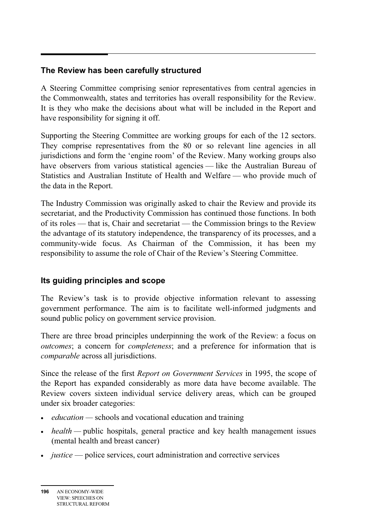#### **The Review has been carefully structured**

A Steering Committee comprising senior representatives from central agencies in the Commonwealth, states and territories has overall responsibility for the Review. It is they who make the decisions about what will be included in the Report and have responsibility for signing it off.

Supporting the Steering Committee are working groups for each of the 12 sectors. They comprise representatives from the 80 or so relevant line agencies in all jurisdictions and form the 'engine room' of the Review. Many working groups also have observers from various statistical agencies — like the Australian Bureau of Statistics and Australian Institute of Health and Welfare — who provide much of the data in the Report.

The Industry Commission was originally asked to chair the Review and provide its secretariat, and the Productivity Commission has continued those functions. In both of its roles — that is, Chair and secretariat — the Commission brings to the Review the advantage of its statutory independence, the transparency of its processes, and a community-wide focus. As Chairman of the Commission, it has been my responsibility to assume the role of Chair of the Review's Steering Committee.

#### **Its guiding principles and scope**

The Review's task is to provide objective information relevant to assessing government performance. The aim is to facilitate well-informed judgments and sound public policy on government service provision.

There are three broad principles underpinning the work of the Review: a focus on *outcomes*; a concern for *completeness*; and a preference for information that is *comparable* across all jurisdictions.

Since the release of the first *Report on Government Services* in 1995, the scope of the Report has expanded considerably as more data have become available. The Review covers sixteen individual service delivery areas, which can be grouped under six broader categories:

- *education* schools and vocational education and training
- *health* public hospitals, general practice and key health management issues (mental health and breast cancer)
- *justice* police services, court administration and corrective services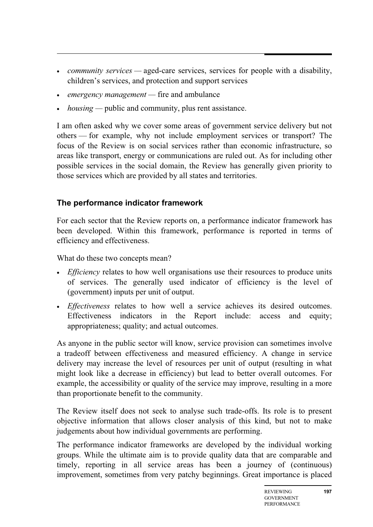- *community services* aged-care services, services for people with a disability, children's services, and protection and support services
- *emergency management* fire and ambulance
- *housing* public and community, plus rent assistance.

I am often asked why we cover some areas of government service delivery but not others — for example, why not include employment services or transport? The focus of the Review is on social services rather than economic infrastructure, so areas like transport, energy or communications are ruled out. As for including other possible services in the social domain, the Review has generally given priority to those services which are provided by all states and territories.

#### **The performance indicator framework**

For each sector that the Review reports on, a performance indicator framework has been developed. Within this framework, performance is reported in terms of efficiency and effectiveness.

What do these two concepts mean?

- *Efficiency* relates to how well organisations use their resources to produce units of services. The generally used indicator of efficiency is the level of (government) inputs per unit of output.
- *Effectiveness* relates to how well a service achieves its desired outcomes. Effectiveness indicators in the Report include: access and equity; appropriateness; quality; and actual outcomes.

As anyone in the public sector will know, service provision can sometimes involve a tradeoff between effectiveness and measured efficiency. A change in service delivery may increase the level of resources per unit of output (resulting in what might look like a decrease in efficiency) but lead to better overall outcomes. For example, the accessibility or quality of the service may improve, resulting in a more than proportionate benefit to the community.

The Review itself does not seek to analyse such trade-offs. Its role is to present objective information that allows closer analysis of this kind, but not to make judgements about how individual governments are performing.

The performance indicator frameworks are developed by the individual working groups. While the ultimate aim is to provide quality data that are comparable and timely, reporting in all service areas has been a journey of (continuous) improvement, sometimes from very patchy beginnings. Great importance is placed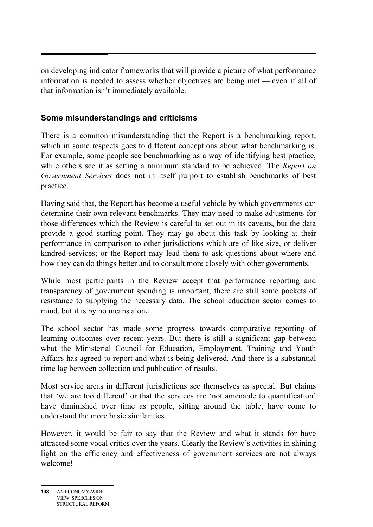on developing indicator frameworks that will provide a picture of what performance information is needed to assess whether objectives are being met — even if all of that information isn't immediately available.

#### **Some misunderstandings and criticisms**

There is a common misunderstanding that the Report is a benchmarking report, which in some respects goes to different conceptions about what benchmarking is. For example, some people see benchmarking as a way of identifying best practice, while others see it as setting a minimum standard to be achieved. The *Report on Government Services* does not in itself purport to establish benchmarks of best practice.

Having said that, the Report has become a useful vehicle by which governments can determine their own relevant benchmarks. They may need to make adjustments for those differences which the Review is careful to set out in its caveats, but the data provide a good starting point. They may go about this task by looking at their performance in comparison to other jurisdictions which are of like size, or deliver kindred services; or the Report may lead them to ask questions about where and how they can do things better and to consult more closely with other governments.

While most participants in the Review accept that performance reporting and transparency of government spending is important, there are still some pockets of resistance to supplying the necessary data. The school education sector comes to mind, but it is by no means alone.

The school sector has made some progress towards comparative reporting of learning outcomes over recent years. But there is still a significant gap between what the Ministerial Council for Education, Employment, Training and Youth Affairs has agreed to report and what is being delivered. And there is a substantial time lag between collection and publication of results.

Most service areas in different jurisdictions see themselves as special. But claims that 'we are too different' or that the services are 'not amenable to quantification' have diminished over time as people, sitting around the table, have come to understand the more basic similarities.

However, it would be fair to say that the Review and what it stands for have attracted some vocal critics over the years. Clearly the Review's activities in shining light on the efficiency and effectiveness of government services are not always welcome!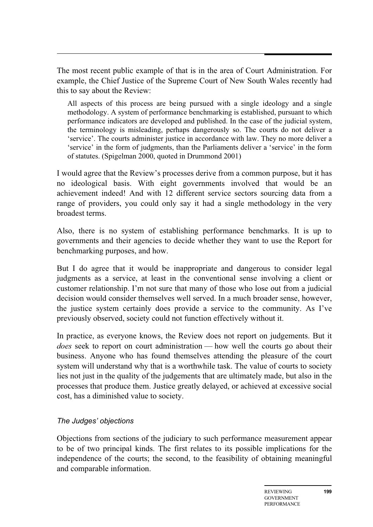The most recent public example of that is in the area of Court Administration. For example, the Chief Justice of the Supreme Court of New South Wales recently had this to say about the Review:

All aspects of this process are being pursued with a single ideology and a single methodology. A system of performance benchmarking is established, pursuant to which performance indicators are developed and published. In the case of the judicial system, the terminology is misleading, perhaps dangerously so. The courts do not deliver a 'service'. The courts administer justice in accordance with law. They no more deliver a 'service' in the form of judgments, than the Parliaments deliver a 'service' in the form of statutes. (Spigelman 2000, quoted in Drummond 2001)

I would agree that the Review's processes derive from a common purpose, but it has no ideological basis. With eight governments involved that would be an achievement indeed! And with 12 different service sectors sourcing data from a range of providers, you could only say it had a single methodology in the very broadest terms.

Also, there is no system of establishing performance benchmarks. It is up to governments and their agencies to decide whether they want to use the Report for benchmarking purposes, and how.

But I do agree that it would be inappropriate and dangerous to consider legal judgments as a service, at least in the conventional sense involving a client or customer relationship. I'm not sure that many of those who lose out from a judicial decision would consider themselves well served. In a much broader sense, however, the justice system certainly does provide a service to the community. As I've previously observed, society could not function effectively without it.

In practice, as everyone knows, the Review does not report on judgements. But it *does* seek to report on court administration — how well the courts go about their business. Anyone who has found themselves attending the pleasure of the court system will understand why that is a worthwhile task. The value of courts to society lies not just in the quality of the judgements that are ultimately made, but also in the processes that produce them. Justice greatly delayed, or achieved at excessive social cost, has a diminished value to society.

#### *The Judges' objections*

Objections from sections of the judiciary to such performance measurement appear to be of two principal kinds. The first relates to its possible implications for the independence of the courts; the second, to the feasibility of obtaining meaningful and comparable information.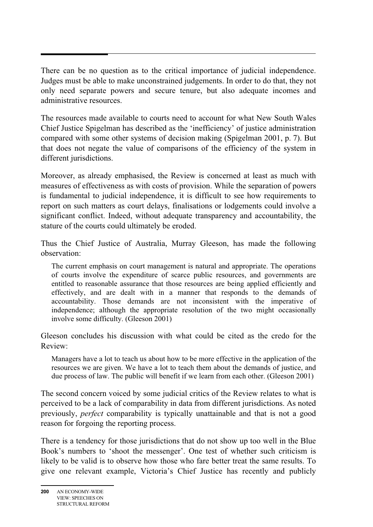There can be no question as to the critical importance of judicial independence. Judges must be able to make unconstrained judgements. In order to do that, they not only need separate powers and secure tenure, but also adequate incomes and administrative resources.

The resources made available to courts need to account for what New South Wales Chief Justice Spigelman has described as the 'inefficiency' of justice administration compared with some other systems of decision making (Spigelman 2001, p. 7). But that does not negate the value of comparisons of the efficiency of the system in different jurisdictions.

Moreover, as already emphasised, the Review is concerned at least as much with measures of effectiveness as with costs of provision. While the separation of powers is fundamental to judicial independence, it is difficult to see how requirements to report on such matters as court delays, finalisations or lodgements could involve a significant conflict. Indeed, without adequate transparency and accountability, the stature of the courts could ultimately be eroded.

Thus the Chief Justice of Australia, Murray Gleeson, has made the following observation:

The current emphasis on court management is natural and appropriate. The operations of courts involve the expenditure of scarce public resources, and governments are entitled to reasonable assurance that those resources are being applied efficiently and effectively, and are dealt with in a manner that responds to the demands of accountability. Those demands are not inconsistent with the imperative of independence; although the appropriate resolution of the two might occasionally involve some difficulty. (Gleeson 2001)

Gleeson concludes his discussion with what could be cited as the credo for the Review:

Managers have a lot to teach us about how to be more effective in the application of the resources we are given. We have a lot to teach them about the demands of justice, and due process of law. The public will benefit if we learn from each other. (Gleeson 2001)

The second concern voiced by some judicial critics of the Review relates to what is perceived to be a lack of comparability in data from different jurisdictions. As noted previously, *perfect* comparability is typically unattainable and that is not a good reason for forgoing the reporting process.

There is a tendency for those jurisdictions that do not show up too well in the Blue Book's numbers to 'shoot the messenger'. One test of whether such criticism is likely to be valid is to observe how those who fare better treat the same results. To give one relevant example, Victoria's Chief Justice has recently and publicly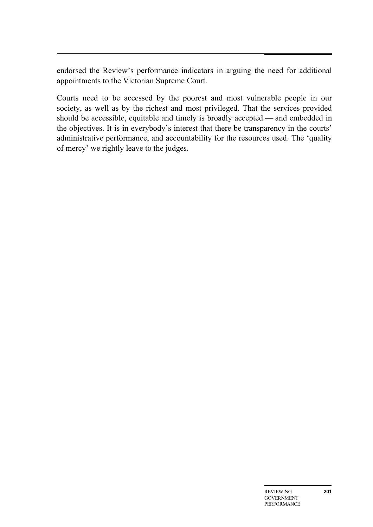endorsed the Review's performance indicators in arguing the need for additional appointments to the Victorian Supreme Court.

Courts need to be accessed by the poorest and most vulnerable people in our society, as well as by the richest and most privileged. That the services provided should be accessible, equitable and timely is broadly accepted — and embedded in the objectives. It is in everybody's interest that there be transparency in the courts' administrative performance, and accountability for the resources used. The 'quality of mercy' we rightly leave to the judges.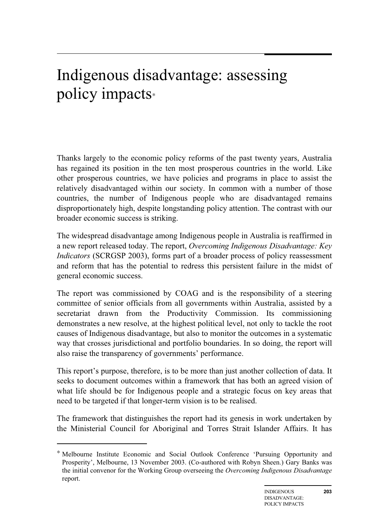# Indigenous disadvantage: assessing policy impacts<sup>∗</sup>

Thanks largely to the economic policy reforms of the past twenty years, Australia has regained its position in the ten most prosperous countries in the world. Like other prosperous countries, we have policies and programs in place to assist the relatively disadvantaged within our society. In common with a number of those countries, the number of Indigenous people who are disadvantaged remains disproportionately high, despite longstanding policy attention. The contrast with our broader economic success is striking.

The widespread disadvantage among Indigenous people in Australia is reaffirmed in a new report released today. The report, *Overcoming Indigenous Disadvantage: Key Indicators* (SCRGSP 2003), forms part of a broader process of policy reassessment and reform that has the potential to redress this persistent failure in the midst of general economic success.

The report was commissioned by COAG and is the responsibility of a steering committee of senior officials from all governments within Australia, assisted by a secretariat drawn from the Productivity Commission. Its commissioning demonstrates a new resolve, at the highest political level, not only to tackle the root causes of Indigenous disadvantage, but also to monitor the outcomes in a systematic way that crosses jurisdictional and portfolio boundaries. In so doing, the report will also raise the transparency of governments' performance.

This report's purpose, therefore, is to be more than just another collection of data. It seeks to document outcomes within a framework that has both an agreed vision of what life should be for Indigenous people and a strategic focus on key areas that need to be targeted if that longer-term vision is to be realised.

The framework that distinguishes the report had its genesis in work undertaken by the Ministerial Council for Aboriginal and Torres Strait Islander Affairs. It has

 $\overline{a}$ 

<sup>∗</sup> Melbourne Institute Economic and Social Outlook Conference 'Pursuing Opportunity and Prosperity', Melbourne, 13 November 2003. (Co-authored with Robyn Sheen.) Gary Banks was the initial convenor for the Working Group overseeing the *Overcoming Indigenous Disadvantage* report.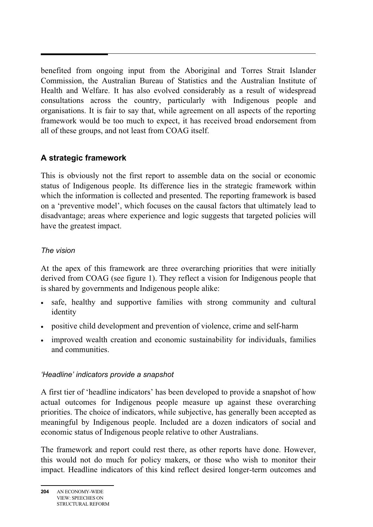benefited from ongoing input from the Aboriginal and Torres Strait Islander Commission, the Australian Bureau of Statistics and the Australian Institute of Health and Welfare. It has also evolved considerably as a result of widespread consultations across the country, particularly with Indigenous people and organisations. It is fair to say that, while agreement on all aspects of the reporting framework would be too much to expect, it has received broad endorsement from all of these groups, and not least from COAG itself.

#### **A strategic framework**

This is obviously not the first report to assemble data on the social or economic status of Indigenous people. Its difference lies in the strategic framework within which the information is collected and presented. The reporting framework is based on a 'preventive model', which focuses on the causal factors that ultimately lead to disadvantage; areas where experience and logic suggests that targeted policies will have the greatest impact.

#### *The vision*

At the apex of this framework are three overarching priorities that were initially derived from COAG (see figure 1). They reflect a vision for Indigenous people that is shared by governments and Indigenous people alike:

- safe, healthy and supportive families with strong community and cultural identity
- positive child development and prevention of violence, crime and self-harm
- improved wealth creation and economic sustainability for individuals, families and communities.

#### *'Headline' indicators provide a snapshot*

A first tier of 'headline indicators' has been developed to provide a snapshot of how actual outcomes for Indigenous people measure up against these overarching priorities. The choice of indicators, while subjective, has generally been accepted as meaningful by Indigenous people. Included are a dozen indicators of social and economic status of Indigenous people relative to other Australians.

The framework and report could rest there, as other reports have done. However, this would not do much for policy makers, or those who wish to monitor their impact. Headline indicators of this kind reflect desired longer-term outcomes and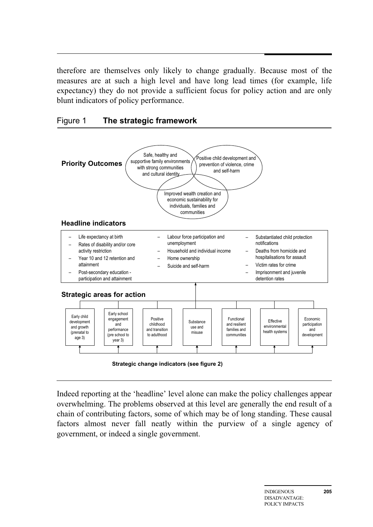therefore are themselves only likely to change gradually. Because most of the measures are at such a high level and have long lead times (for example, life expectancy) they do not provide a sufficient focus for policy action and are only blunt indicators of policy performance.





 **Strategic change indicators (see figure 2)**

Indeed reporting at the 'headline' level alone can make the policy challenges appear overwhelming. The problems observed at this level are generally the end result of a chain of contributing factors, some of which may be of long standing. These causal factors almost never fall neatly within the purview of a single agency of government, or indeed a single government.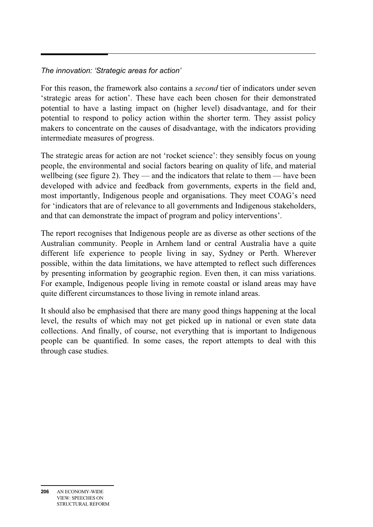#### *The innovation: 'Strategic areas for action'*

For this reason, the framework also contains a *second* tier of indicators under seven 'strategic areas for action'. These have each been chosen for their demonstrated potential to have a lasting impact on (higher level) disadvantage, and for their potential to respond to policy action within the shorter term. They assist policy makers to concentrate on the causes of disadvantage, with the indicators providing intermediate measures of progress.

The strategic areas for action are not 'rocket science': they sensibly focus on young people, the environmental and social factors bearing on quality of life, and material wellbeing (see figure 2). They — and the indicators that relate to them — have been developed with advice and feedback from governments, experts in the field and, most importantly, Indigenous people and organisations. They meet COAG's need for 'indicators that are of relevance to all governments and Indigenous stakeholders, and that can demonstrate the impact of program and policy interventions'.

The report recognises that Indigenous people are as diverse as other sections of the Australian community. People in Arnhem land or central Australia have a quite different life experience to people living in say, Sydney or Perth. Wherever possible, within the data limitations, we have attempted to reflect such differences by presenting information by geographic region. Even then, it can miss variations. For example, Indigenous people living in remote coastal or island areas may have quite different circumstances to those living in remote inland areas.

It should also be emphasised that there are many good things happening at the local level, the results of which may not get picked up in national or even state data collections. And finally, of course, not everything that is important to Indigenous people can be quantified. In some cases, the report attempts to deal with this through case studies.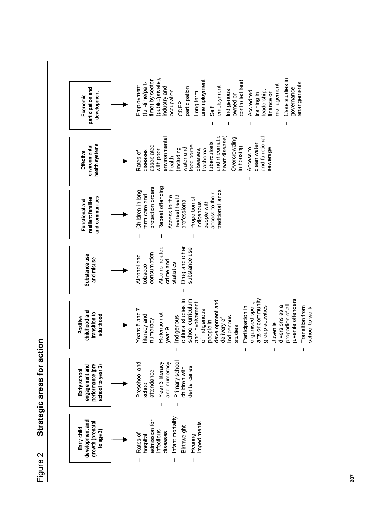**Strategic areas for action**  Strategic areas for action Figure 2

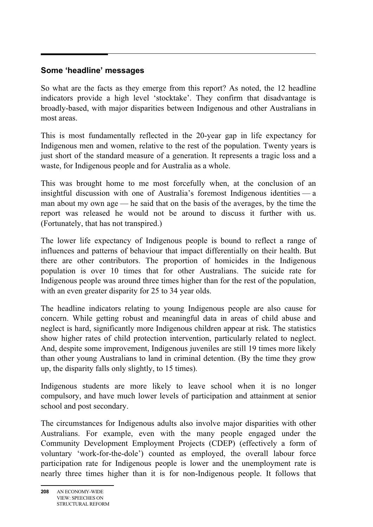#### **Some 'headline' messages**

So what are the facts as they emerge from this report? As noted, the 12 headline indicators provide a high level 'stocktake'. They confirm that disadvantage is broadly-based, with major disparities between Indigenous and other Australians in most areas.

This is most fundamentally reflected in the 20-year gap in life expectancy for Indigenous men and women, relative to the rest of the population. Twenty years is just short of the standard measure of a generation. It represents a tragic loss and a waste, for Indigenous people and for Australia as a whole.

This was brought home to me most forcefully when, at the conclusion of an insightful discussion with one of Australia's foremost Indigenous identities — a man about my own age — he said that on the basis of the averages, by the time the report was released he would not be around to discuss it further with us. (Fortunately, that has not transpired.)

The lower life expectancy of Indigenous people is bound to reflect a range of influences and patterns of behaviour that impact differentially on their health. But there are other contributors. The proportion of homicides in the Indigenous population is over 10 times that for other Australians. The suicide rate for Indigenous people was around three times higher than for the rest of the population, with an even greater disparity for 25 to 34 year olds.

The headline indicators relating to young Indigenous people are also cause for concern. While getting robust and meaningful data in areas of child abuse and neglect is hard, significantly more Indigenous children appear at risk. The statistics show higher rates of child protection intervention, particularly related to neglect. And, despite some improvement, Indigenous juveniles are still 19 times more likely than other young Australians to land in criminal detention. (By the time they grow up, the disparity falls only slightly, to 15 times).

Indigenous students are more likely to leave school when it is no longer compulsory, and have much lower levels of participation and attainment at senior school and post secondary.

The circumstances for Indigenous adults also involve major disparities with other Australians. For example, even with the many people engaged under the Community Development Employment Projects (CDEP) (effectively a form of voluntary 'work-for-the-dole') counted as employed, the overall labour force participation rate for Indigenous people is lower and the unemployment rate is nearly three times higher than it is for non-Indigenous people. It follows that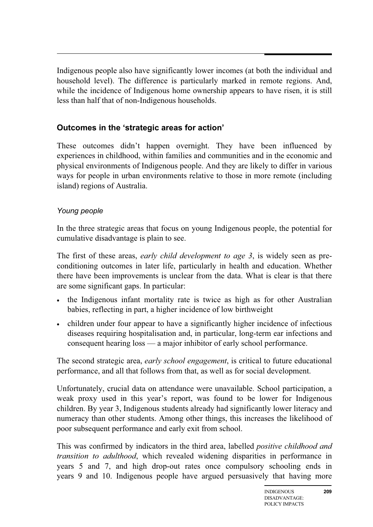Indigenous people also have significantly lower incomes (at both the individual and household level). The difference is particularly marked in remote regions. And, while the incidence of Indigenous home ownership appears to have risen, it is still less than half that of non-Indigenous households.

#### **Outcomes in the 'strategic areas for action'**

These outcomes didn't happen overnight. They have been influenced by experiences in childhood, within families and communities and in the economic and physical environments of Indigenous people. And they are likely to differ in various ways for people in urban environments relative to those in more remote (including island) regions of Australia.

#### *Young people*

In the three strategic areas that focus on young Indigenous people, the potential for cumulative disadvantage is plain to see.

The first of these areas, *early child development to age 3*, is widely seen as preconditioning outcomes in later life, particularly in health and education. Whether there have been improvements is unclear from the data. What is clear is that there are some significant gaps. In particular:

- the Indigenous infant mortality rate is twice as high as for other Australian babies, reflecting in part, a higher incidence of low birthweight
- children under four appear to have a significantly higher incidence of infectious diseases requiring hospitalisation and, in particular, long-term ear infections and consequent hearing loss — a major inhibitor of early school performance.

The second strategic area, *early school engagement*, is critical to future educational performance, and all that follows from that, as well as for social development.

Unfortunately, crucial data on attendance were unavailable. School participation, a weak proxy used in this year's report, was found to be lower for Indigenous children. By year 3, Indigenous students already had significantly lower literacy and numeracy than other students. Among other things, this increases the likelihood of poor subsequent performance and early exit from school.

This was confirmed by indicators in the third area, labelled *positive childhood and transition to adulthood*, which revealed widening disparities in performance in years 5 and 7, and high drop-out rates once compulsory schooling ends in years 9 and 10. Indigenous people have argued persuasively that having more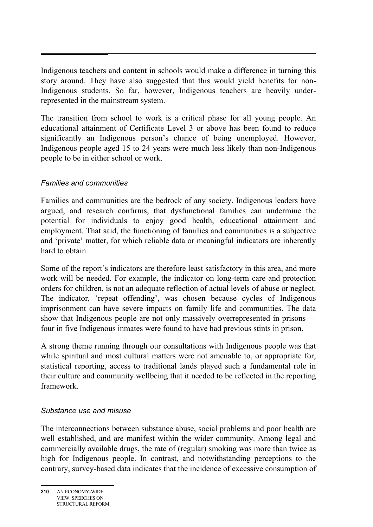Indigenous teachers and content in schools would make a difference in turning this story around. They have also suggested that this would yield benefits for non-Indigenous students. So far, however, Indigenous teachers are heavily underrepresented in the mainstream system.

The transition from school to work is a critical phase for all young people. An educational attainment of Certificate Level 3 or above has been found to reduce significantly an Indigenous person's chance of being unemployed. However, Indigenous people aged 15 to 24 years were much less likely than non-Indigenous people to be in either school or work.

#### *Families and communities*

Families and communities are the bedrock of any society. Indigenous leaders have argued, and research confirms, that dysfunctional families can undermine the potential for individuals to enjoy good health, educational attainment and employment. That said, the functioning of families and communities is a subjective and 'private' matter, for which reliable data or meaningful indicators are inherently hard to obtain.

Some of the report's indicators are therefore least satisfactory in this area, and more work will be needed. For example, the indicator on long-term care and protection orders for children, is not an adequate reflection of actual levels of abuse or neglect. The indicator, 'repeat offending', was chosen because cycles of Indigenous imprisonment can have severe impacts on family life and communities. The data show that Indigenous people are not only massively overrepresented in prisons four in five Indigenous inmates were found to have had previous stints in prison.

A strong theme running through our consultations with Indigenous people was that while spiritual and most cultural matters were not amenable to, or appropriate for, statistical reporting, access to traditional lands played such a fundamental role in their culture and community wellbeing that it needed to be reflected in the reporting framework.

#### *Substance use and misuse*

The interconnections between substance abuse, social problems and poor health are well established, and are manifest within the wider community. Among legal and commercially available drugs, the rate of (regular) smoking was more than twice as high for Indigenous people. In contrast, and notwithstanding perceptions to the contrary, survey-based data indicates that the incidence of excessive consumption of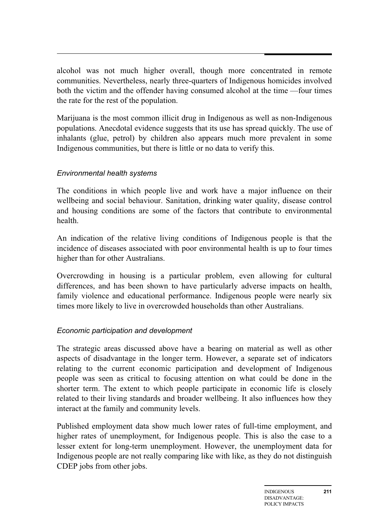alcohol was not much higher overall, though more concentrated in remote communities. Nevertheless, nearly three-quarters of Indigenous homicides involved both the victim and the offender having consumed alcohol at the time —four times the rate for the rest of the population.

Marijuana is the most common illicit drug in Indigenous as well as non-Indigenous populations. Anecdotal evidence suggests that its use has spread quickly. The use of inhalants (glue, petrol) by children also appears much more prevalent in some Indigenous communities, but there is little or no data to verify this.

#### *Environmental health systems*

The conditions in which people live and work have a major influence on their wellbeing and social behaviour. Sanitation, drinking water quality, disease control and housing conditions are some of the factors that contribute to environmental health.

An indication of the relative living conditions of Indigenous people is that the incidence of diseases associated with poor environmental health is up to four times higher than for other Australians.

Overcrowding in housing is a particular problem, even allowing for cultural differences, and has been shown to have particularly adverse impacts on health, family violence and educational performance. Indigenous people were nearly six times more likely to live in overcrowded households than other Australians.

#### *Economic participation and development*

The strategic areas discussed above have a bearing on material as well as other aspects of disadvantage in the longer term. However, a separate set of indicators relating to the current economic participation and development of Indigenous people was seen as critical to focusing attention on what could be done in the shorter term. The extent to which people participate in economic life is closely related to their living standards and broader wellbeing. It also influences how they interact at the family and community levels.

Published employment data show much lower rates of full-time employment, and higher rates of unemployment, for Indigenous people. This is also the case to a lesser extent for long-term unemployment. However, the unemployment data for Indigenous people are not really comparing like with like, as they do not distinguish CDEP jobs from other jobs.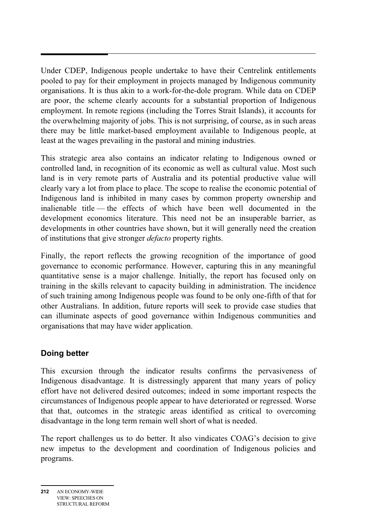Under CDEP, Indigenous people undertake to have their Centrelink entitlements pooled to pay for their employment in projects managed by Indigenous community organisations. It is thus akin to a work-for-the-dole program. While data on CDEP are poor, the scheme clearly accounts for a substantial proportion of Indigenous employment. In remote regions (including the Torres Strait Islands), it accounts for the overwhelming majority of jobs. This is not surprising, of course, as in such areas there may be little market-based employment available to Indigenous people, at least at the wages prevailing in the pastoral and mining industries.

This strategic area also contains an indicator relating to Indigenous owned or controlled land, in recognition of its economic as well as cultural value. Most such land is in very remote parts of Australia and its potential productive value will clearly vary a lot from place to place. The scope to realise the economic potential of Indigenous land is inhibited in many cases by common property ownership and inalienable title — the effects of which have been well documented in the development economics literature. This need not be an insuperable barrier, as developments in other countries have shown, but it will generally need the creation of institutions that give stronger *defacto* property rights.

Finally, the report reflects the growing recognition of the importance of good governance to economic performance. However, capturing this in any meaningful quantitative sense is a major challenge. Initially, the report has focused only on training in the skills relevant to capacity building in administration. The incidence of such training among Indigenous people was found to be only one-fifth of that for other Australians. In addition, future reports will seek to provide case studies that can illuminate aspects of good governance within Indigenous communities and organisations that may have wider application.

#### **Doing better**

This excursion through the indicator results confirms the pervasiveness of Indigenous disadvantage. It is distressingly apparent that many years of policy effort have not delivered desired outcomes; indeed in some important respects the circumstances of Indigenous people appear to have deteriorated or regressed. Worse that that, outcomes in the strategic areas identified as critical to overcoming disadvantage in the long term remain well short of what is needed.

The report challenges us to do better. It also vindicates COAG's decision to give new impetus to the development and coordination of Indigenous policies and programs.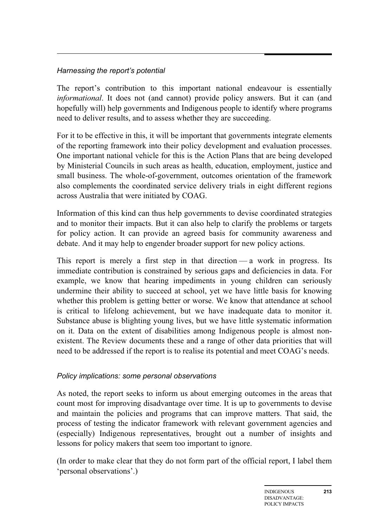#### *Harnessing the report's potential*

The report's contribution to this important national endeavour is essentially *informational*. It does not (and cannot) provide policy answers. But it can (and hopefully will) help governments and Indigenous people to identify where programs need to deliver results, and to assess whether they are succeeding.

For it to be effective in this, it will be important that governments integrate elements of the reporting framework into their policy development and evaluation processes. One important national vehicle for this is the Action Plans that are being developed by Ministerial Councils in such areas as health, education, employment, justice and small business. The whole-of-government, outcomes orientation of the framework also complements the coordinated service delivery trials in eight different regions across Australia that were initiated by COAG.

Information of this kind can thus help governments to devise coordinated strategies and to monitor their impacts. But it can also help to clarify the problems or targets for policy action. It can provide an agreed basis for community awareness and debate. And it may help to engender broader support for new policy actions.

This report is merely a first step in that direction — a work in progress. Its immediate contribution is constrained by serious gaps and deficiencies in data. For example, we know that hearing impediments in young children can seriously undermine their ability to succeed at school, yet we have little basis for knowing whether this problem is getting better or worse. We know that attendance at school is critical to lifelong achievement, but we have inadequate data to monitor it. Substance abuse is blighting young lives, but we have little systematic information on it. Data on the extent of disabilities among Indigenous people is almost nonexistent. The Review documents these and a range of other data priorities that will need to be addressed if the report is to realise its potential and meet COAG's needs.

#### *Policy implications: some personal observations*

As noted, the report seeks to inform us about emerging outcomes in the areas that count most for improving disadvantage over time. It is up to governments to devise and maintain the policies and programs that can improve matters. That said, the process of testing the indicator framework with relevant government agencies and (especially) Indigenous representatives, brought out a number of insights and lessons for policy makers that seem too important to ignore.

(In order to make clear that they do not form part of the official report, I label them 'personal observations'.)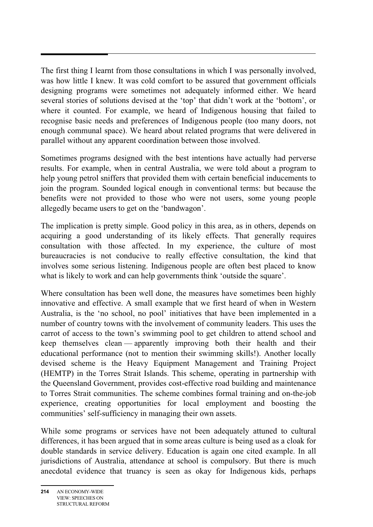The first thing I learnt from those consultations in which I was personally involved, was how little I knew. It was cold comfort to be assured that government officials designing programs were sometimes not adequately informed either. We heard several stories of solutions devised at the 'top' that didn't work at the 'bottom', or where it counted. For example, we heard of Indigenous housing that failed to recognise basic needs and preferences of Indigenous people (too many doors, not enough communal space). We heard about related programs that were delivered in parallel without any apparent coordination between those involved.

Sometimes programs designed with the best intentions have actually had perverse results. For example, when in central Australia, we were told about a program to help young petrol sniffers that provided them with certain beneficial inducements to join the program. Sounded logical enough in conventional terms: but because the benefits were not provided to those who were not users, some young people allegedly became users to get on the 'bandwagon'.

The implication is pretty simple. Good policy in this area, as in others, depends on acquiring a good understanding of its likely effects. That generally requires consultation with those affected. In my experience, the culture of most bureaucracies is not conducive to really effective consultation, the kind that involves some serious listening. Indigenous people are often best placed to know what is likely to work and can help governments think 'outside the square'.

Where consultation has been well done, the measures have sometimes been highly innovative and effective. A small example that we first heard of when in Western Australia, is the 'no school, no pool' initiatives that have been implemented in a number of country towns with the involvement of community leaders. This uses the carrot of access to the town's swimming pool to get children to attend school and keep themselves clean — apparently improving both their health and their educational performance (not to mention their swimming skills!). Another locally devised scheme is the Heavy Equipment Management and Training Project (HEMTP) in the Torres Strait Islands. This scheme, operating in partnership with the Queensland Government, provides cost-effective road building and maintenance to Torres Strait communities. The scheme combines formal training and on-the-job experience, creating opportunities for local employment and boosting the communities' self-sufficiency in managing their own assets.

While some programs or services have not been adequately attuned to cultural differences, it has been argued that in some areas culture is being used as a cloak for double standards in service delivery. Education is again one cited example. In all jurisdictions of Australia, attendance at school is compulsory. But there is much anecdotal evidence that truancy is seen as okay for Indigenous kids, perhaps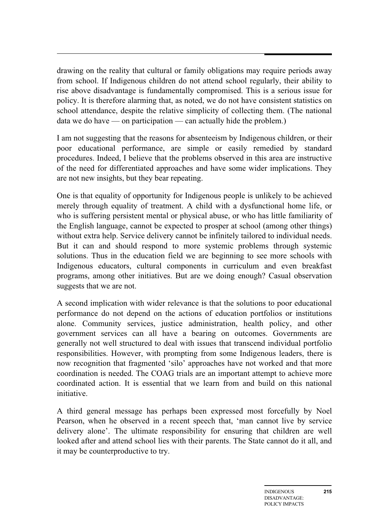drawing on the reality that cultural or family obligations may require periods away from school. If Indigenous children do not attend school regularly, their ability to rise above disadvantage is fundamentally compromised. This is a serious issue for policy. It is therefore alarming that, as noted, we do not have consistent statistics on school attendance, despite the relative simplicity of collecting them. (The national data we do have — on participation — can actually hide the problem.)

I am not suggesting that the reasons for absenteeism by Indigenous children, or their poor educational performance, are simple or easily remedied by standard procedures. Indeed, I believe that the problems observed in this area are instructive of the need for differentiated approaches and have some wider implications. They are not new insights, but they bear repeating.

One is that equality of opportunity for Indigenous people is unlikely to be achieved merely through equality of treatment. A child with a dysfunctional home life, or who is suffering persistent mental or physical abuse, or who has little familiarity of the English language, cannot be expected to prosper at school (among other things) without extra help. Service delivery cannot be infinitely tailored to individual needs. But it can and should respond to more systemic problems through systemic solutions. Thus in the education field we are beginning to see more schools with Indigenous educators, cultural components in curriculum and even breakfast programs, among other initiatives. But are we doing enough? Casual observation suggests that we are not.

A second implication with wider relevance is that the solutions to poor educational performance do not depend on the actions of education portfolios or institutions alone. Community services, justice administration, health policy, and other government services can all have a bearing on outcomes. Governments are generally not well structured to deal with issues that transcend individual portfolio responsibilities. However, with prompting from some Indigenous leaders, there is now recognition that fragmented 'silo' approaches have not worked and that more coordination is needed. The COAG trials are an important attempt to achieve more coordinated action. It is essential that we learn from and build on this national initiative.

A third general message has perhaps been expressed most forcefully by Noel Pearson, when he observed in a recent speech that, 'man cannot live by service delivery alone'. The ultimate responsibility for ensuring that children are well looked after and attend school lies with their parents. The State cannot do it all, and it may be counterproductive to try.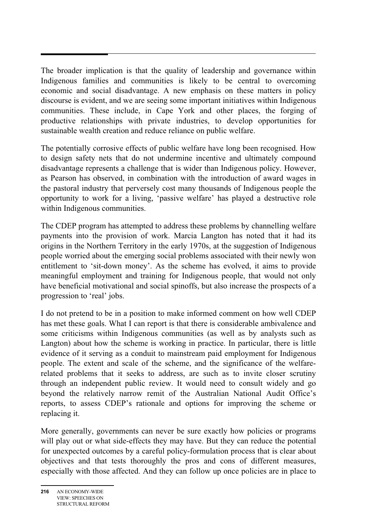The broader implication is that the quality of leadership and governance within Indigenous families and communities is likely to be central to overcoming economic and social disadvantage. A new emphasis on these matters in policy discourse is evident, and we are seeing some important initiatives within Indigenous communities. These include, in Cape York and other places, the forging of productive relationships with private industries, to develop opportunities for sustainable wealth creation and reduce reliance on public welfare.

The potentially corrosive effects of public welfare have long been recognised. How to design safety nets that do not undermine incentive and ultimately compound disadvantage represents a challenge that is wider than Indigenous policy. However, as Pearson has observed, in combination with the introduction of award wages in the pastoral industry that perversely cost many thousands of Indigenous people the opportunity to work for a living, 'passive welfare' has played a destructive role within Indigenous communities.

The CDEP program has attempted to address these problems by channelling welfare payments into the provision of work. Marcia Langton has noted that it had its origins in the Northern Territory in the early 1970s, at the suggestion of Indigenous people worried about the emerging social problems associated with their newly won entitlement to 'sit-down money'. As the scheme has evolved, it aims to provide meaningful employment and training for Indigenous people, that would not only have beneficial motivational and social spinoffs, but also increase the prospects of a progression to 'real' jobs.

I do not pretend to be in a position to make informed comment on how well CDEP has met these goals. What I can report is that there is considerable ambivalence and some criticisms within Indigenous communities (as well as by analysts such as Langton) about how the scheme is working in practice. In particular, there is little evidence of it serving as a conduit to mainstream paid employment for Indigenous people. The extent and scale of the scheme, and the significance of the welfarerelated problems that it seeks to address, are such as to invite closer scrutiny through an independent public review. It would need to consult widely and go beyond the relatively narrow remit of the Australian National Audit Office's reports, to assess CDEP's rationale and options for improving the scheme or replacing it.

More generally, governments can never be sure exactly how policies or programs will play out or what side-effects they may have. But they can reduce the potential for unexpected outcomes by a careful policy-formulation process that is clear about objectives and that tests thoroughly the pros and cons of different measures, especially with those affected. And they can follow up once policies are in place to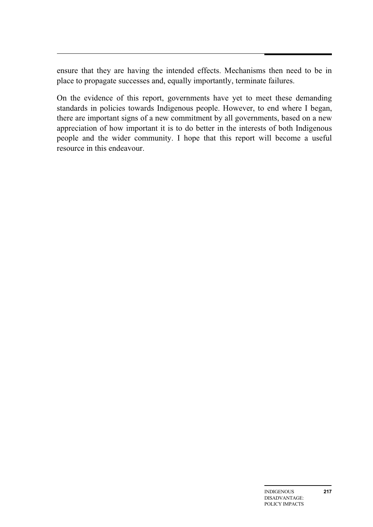ensure that they are having the intended effects. Mechanisms then need to be in place to propagate successes and, equally importantly, terminate failures.

On the evidence of this report, governments have yet to meet these demanding standards in policies towards Indigenous people. However, to end where I began, there are important signs of a new commitment by all governments, based on a new appreciation of how important it is to do better in the interests of both Indigenous people and the wider community. I hope that this report will become a useful resource in this endeavour.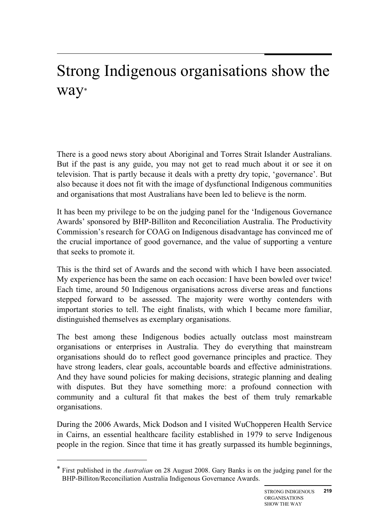# Strong Indigenous organisations show the way\*

There is a good news story about Aboriginal and Torres Strait Islander Australians. But if the past is any guide, you may not get to read much about it or see it on television. That is partly because it deals with a pretty dry topic, 'governance'. But also because it does not fit with the image of dysfunctional Indigenous communities and organisations that most Australians have been led to believe is the norm.

It has been my privilege to be on the judging panel for the 'Indigenous Governance Awards' sponsored by BHP-Billiton and Reconciliation Australia. The Productivity Commission's research for COAG on Indigenous disadvantage has convinced me of the crucial importance of good governance, and the value of supporting a venture that seeks to promote it.

This is the third set of Awards and the second with which I have been associated. My experience has been the same on each occasion: I have been bowled over twice! Each time, around 50 Indigenous organisations across diverse areas and functions stepped forward to be assessed. The majority were worthy contenders with important stories to tell. The eight finalists, with which I became more familiar, distinguished themselves as exemplary organisations.

The best among these Indigenous bodies actually outclass most mainstream organisations or enterprises in Australia. They do everything that mainstream organisations should do to reflect good governance principles and practice. They have strong leaders, clear goals, accountable boards and effective administrations. And they have sound policies for making decisions, strategic planning and dealing with disputes. But they have something more: a profound connection with community and a cultural fit that makes the best of them truly remarkable organisations.

During the 2006 Awards, Mick Dodson and I visited WuChopperen Health Service in Cairns, an essential healthcare facility established in 1979 to serve Indigenous people in the region. Since that time it has greatly surpassed its humble beginnings,

 $\overline{a}$ 

<sup>\*</sup> First published in the *Australian* on 28 August 2008. Gary Banks is on the judging panel for the BHP-Billiton/Reconciliation Australia Indigenous Governance Awards.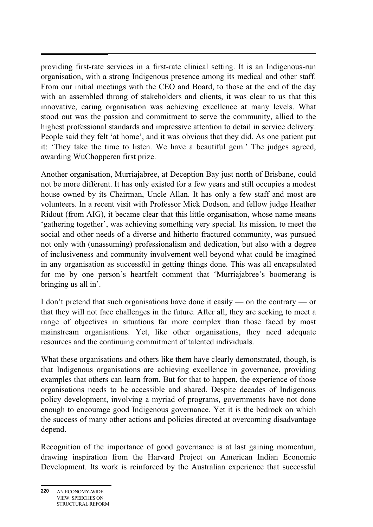providing first-rate services in a first-rate clinical setting. It is an Indigenous-run organisation, with a strong Indigenous presence among its medical and other staff. From our initial meetings with the CEO and Board, to those at the end of the day with an assembled throng of stakeholders and clients, it was clear to us that this innovative, caring organisation was achieving excellence at many levels. What stood out was the passion and commitment to serve the community, allied to the highest professional standards and impressive attention to detail in service delivery. People said they felt 'at home', and it was obvious that they did. As one patient put it: 'They take the time to listen. We have a beautiful gem.' The judges agreed, awarding WuChopperen first prize.

Another organisation, Murriajabree, at Deception Bay just north of Brisbane, could not be more different. It has only existed for a few years and still occupies a modest house owned by its Chairman, Uncle Allan. It has only a few staff and most are volunteers. In a recent visit with Professor Mick Dodson, and fellow judge Heather Ridout (from AIG), it became clear that this little organisation, whose name means 'gathering together', was achieving something very special. Its mission, to meet the social and other needs of a diverse and hitherto fractured community, was pursued not only with (unassuming) professionalism and dedication, but also with a degree of inclusiveness and community involvement well beyond what could be imagined in any organisation as successful in getting things done. This was all encapsulated for me by one person's heartfelt comment that 'Murriajabree's boomerang is bringing us all in'.

I don't pretend that such organisations have done it easily — on the contrary — or that they will not face challenges in the future. After all, they are seeking to meet a range of objectives in situations far more complex than those faced by most mainstream organisations. Yet, like other organisations, they need adequate resources and the continuing commitment of talented individuals.

What these organisations and others like them have clearly demonstrated, though, is that Indigenous organisations are achieving excellence in governance, providing examples that others can learn from. But for that to happen, the experience of those organisations needs to be accessible and shared. Despite decades of Indigenous policy development, involving a myriad of programs, governments have not done enough to encourage good Indigenous governance. Yet it is the bedrock on which the success of many other actions and policies directed at overcoming disadvantage depend.

Recognition of the importance of good governance is at last gaining momentum, drawing inspiration from the Harvard Project on American Indian Economic Development. Its work is reinforced by the Australian experience that successful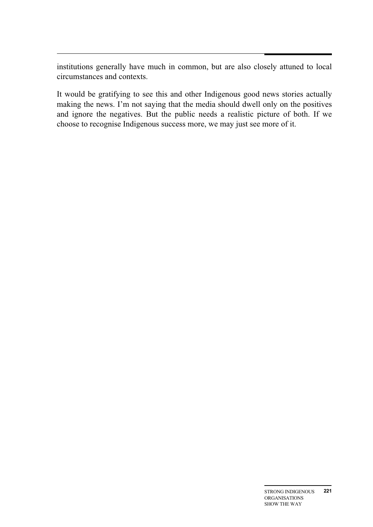$\ddot{\phantom{0}}$ institutions generally have much in common, but are also closely attuned to local circumstances and contexts.

It would be gratifying to see this and other Indigenous good news stories actually making the news. I'm not saying that the media should dwell only on the positives and ignore the negatives. But the public needs a realistic picture of both. If we choose to recognise Indigenous success more, we may just see more of it.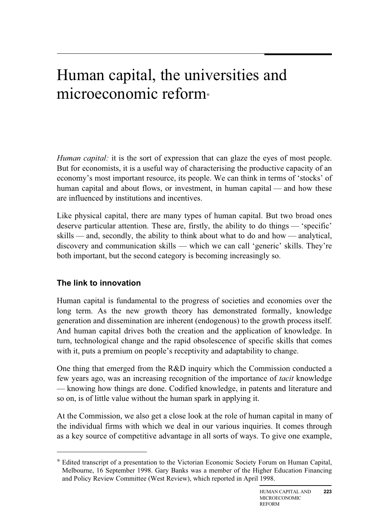# Human capital, the universities and microeconomic reform<sup>∗</sup>

*Human capital:* it is the sort of expression that can glaze the eyes of most people. But for economists, it is a useful way of characterising the productive capacity of an economy's most important resource, its people. We can think in terms of 'stocks' of human capital and about flows, or investment, in human capital — and how these are influenced by institutions and incentives.

Like physical capital, there are many types of human capital. But two broad ones deserve particular attention. These are, firstly, the ability to do things — 'specific' skills — and, secondly, the ability to think about what to do and how — analytical, discovery and communication skills — which we can call 'generic' skills. They're both important, but the second category is becoming increasingly so.

#### **The link to innovation**

 $\overline{a}$ 

Human capital is fundamental to the progress of societies and economies over the long term. As the new growth theory has demonstrated formally, knowledge generation and dissemination are inherent (endogenous) to the growth process itself. And human capital drives both the creation and the application of knowledge. In turn, technological change and the rapid obsolescence of specific skills that comes with it, puts a premium on people's receptivity and adaptability to change.

One thing that emerged from the R&D inquiry which the Commission conducted a few years ago, was an increasing recognition of the importance of *tacit* knowledge — knowing how things are done. Codified knowledge, in patents and literature and so on, is of little value without the human spark in applying it.

At the Commission, we also get a close look at the role of human capital in many of the individual firms with which we deal in our various inquiries. It comes through as a key source of competitive advantage in all sorts of ways. To give one example,

<sup>∗</sup> Edited transcript of a presentation to the Victorian Economic Society Forum on Human Capital, Melbourne, 16 September 1998. Gary Banks was a member of the Higher Education Financing and Policy Review Committee (West Review), which reported in April 1998.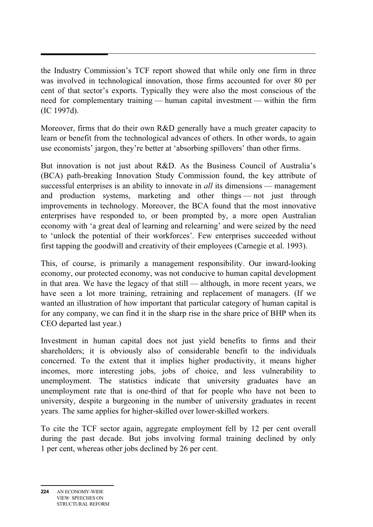the Industry Commission's TCF report showed that while only one firm in three was involved in technological innovation, those firms accounted for over 80 per cent of that sector's exports. Typically they were also the most conscious of the need for complementary training — human capital investment — within the firm (IC 1997d).

Moreover, firms that do their own R&D generally have a much greater capacity to learn or benefit from the technological advances of others. In other words, to again use economists' jargon, they're better at 'absorbing spillovers' than other firms.

But innovation is not just about R&D. As the Business Council of Australia's (BCA) path-breaking Innovation Study Commission found, the key attribute of successful enterprises is an ability to innovate in *all* its dimensions — management and production systems, marketing and other things — not just through improvements in technology. Moreover, the BCA found that the most innovative enterprises have responded to, or been prompted by, a more open Australian economy with 'a great deal of learning and relearning' and were seized by the need to 'unlock the potential of their workforces'. Few enterprises succeeded without first tapping the goodwill and creativity of their employees (Carnegie et al. 1993).

This, of course, is primarily a management responsibility. Our inward-looking economy, our protected economy, was not conducive to human capital development in that area. We have the legacy of that still — although, in more recent years, we have seen a lot more training, retraining and replacement of managers. (If we wanted an illustration of how important that particular category of human capital is for any company, we can find it in the sharp rise in the share price of BHP when its CEO departed last year.)

Investment in human capital does not just yield benefits to firms and their shareholders; it is obviously also of considerable benefit to the individuals concerned. To the extent that it implies higher productivity, it means higher incomes, more interesting jobs, jobs of choice, and less vulnerability to unemployment. The statistics indicate that university graduates have an unemployment rate that is one-third of that for people who have not been to university, despite a burgeoning in the number of university graduates in recent years. The same applies for higher-skilled over lower-skilled workers.

To cite the TCF sector again, aggregate employment fell by 12 per cent overall during the past decade. But jobs involving formal training declined by only 1 per cent, whereas other jobs declined by 26 per cent.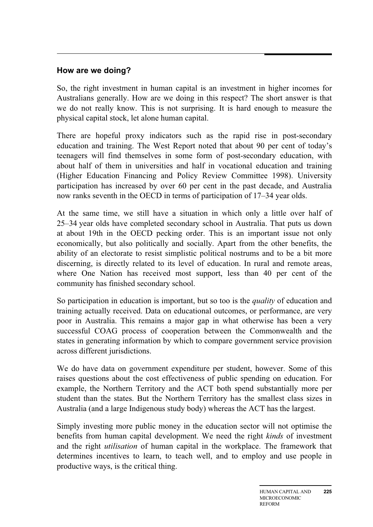#### **How are we doing?**

So, the right investment in human capital is an investment in higher incomes for Australians generally. How are we doing in this respect? The short answer is that we do not really know. This is not surprising. It is hard enough to measure the physical capital stock, let alone human capital.

There are hopeful proxy indicators such as the rapid rise in post-secondary education and training. The West Report noted that about 90 per cent of today's teenagers will find themselves in some form of post-secondary education, with about half of them in universities and half in vocational education and training (Higher Education Financing and Policy Review Committee 1998). University participation has increased by over 60 per cent in the past decade, and Australia now ranks seventh in the OECD in terms of participation of 17–34 year olds.

At the same time, we still have a situation in which only a little over half of 25–34 year olds have completed secondary school in Australia. That puts us down at about 19th in the OECD pecking order. This is an important issue not only economically, but also politically and socially. Apart from the other benefits, the ability of an electorate to resist simplistic political nostrums and to be a bit more discerning, is directly related to its level of education. In rural and remote areas, where One Nation has received most support, less than 40 per cent of the community has finished secondary school.

So participation in education is important, but so too is the *quality* of education and training actually received. Data on educational outcomes, or performance, are very poor in Australia. This remains a major gap in what otherwise has been a very successful COAG process of cooperation between the Commonwealth and the states in generating information by which to compare government service provision across different jurisdictions.

We do have data on government expenditure per student, however. Some of this raises questions about the cost effectiveness of public spending on education. For example, the Northern Territory and the ACT both spend substantially more per student than the states. But the Northern Territory has the smallest class sizes in Australia (and a large Indigenous study body) whereas the ACT has the largest.

Simply investing more public money in the education sector will not optimise the benefits from human capital development. We need the right *kinds* of investment and the right *utilisation* of human capital in the workplace. The framework that determines incentives to learn, to teach well, and to employ and use people in productive ways, is the critical thing.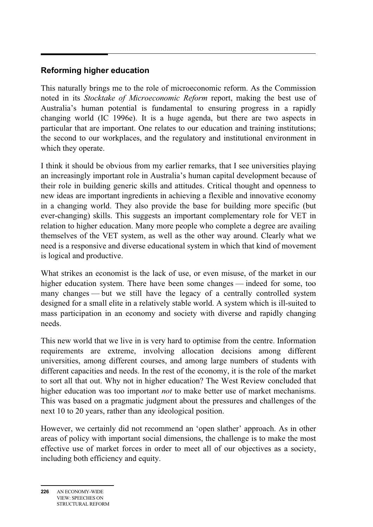#### **Reforming higher education**

This naturally brings me to the role of microeconomic reform. As the Commission noted in its *Stocktake of Microeconomic Reform* report, making the best use of Australia's human potential is fundamental to ensuring progress in a rapidly changing world (IC 1996e). It is a huge agenda, but there are two aspects in particular that are important. One relates to our education and training institutions; the second to our workplaces, and the regulatory and institutional environment in which they operate.

I think it should be obvious from my earlier remarks, that I see universities playing an increasingly important role in Australia's human capital development because of their role in building generic skills and attitudes. Critical thought and openness to new ideas are important ingredients in achieving a flexible and innovative economy in a changing world. They also provide the base for building more specific (but ever-changing) skills. This suggests an important complementary role for VET in relation to higher education. Many more people who complete a degree are availing themselves of the VET system, as well as the other way around. Clearly what we need is a responsive and diverse educational system in which that kind of movement is logical and productive.

What strikes an economist is the lack of use, or even misuse, of the market in our higher education system. There have been some changes — indeed for some, too many changes — but we still have the legacy of a centrally controlled system designed for a small elite in a relatively stable world. A system which is ill-suited to mass participation in an economy and society with diverse and rapidly changing needs.

This new world that we live in is very hard to optimise from the centre. Information requirements are extreme, involving allocation decisions among different universities, among different courses, and among large numbers of students with different capacities and needs. In the rest of the economy, it is the role of the market to sort all that out. Why not in higher education? The West Review concluded that higher education was too important *not* to make better use of market mechanisms. This was based on a pragmatic judgment about the pressures and challenges of the next 10 to 20 years, rather than any ideological position.

However, we certainly did not recommend an 'open slather' approach. As in other areas of policy with important social dimensions, the challenge is to make the most effective use of market forces in order to meet all of our objectives as a society, including both efficiency and equity.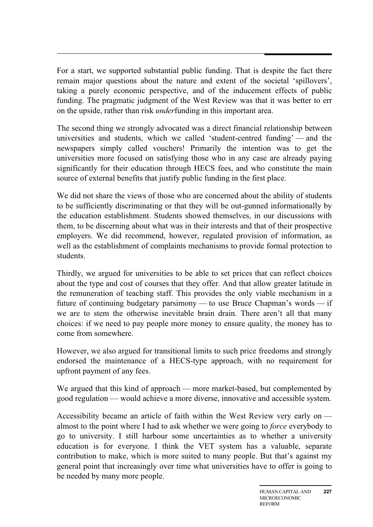For a start, we supported substantial public funding. That is despite the fact there remain major questions about the nature and extent of the societal 'spillovers', taking a purely economic perspective, and of the inducement effects of public funding. The pragmatic judgment of the West Review was that it was better to err on the upside, rather than risk *under*funding in this important area.

The second thing we strongly advocated was a direct financial relationship between universities and students, which we called 'student-centred funding' — and the newspapers simply called vouchers! Primarily the intention was to get the universities more focused on satisfying those who in any case are already paying significantly for their education through HECS fees, and who constitute the main source of external benefits that justify public funding in the first place.

We did not share the views of those who are concerned about the ability of students to be sufficiently discriminating or that they will be out-gunned informationally by the education establishment. Students showed themselves, in our discussions with them, to be discerning about what was in their interests and that of their prospective employers. We did recommend, however, regulated provision of information, as well as the establishment of complaints mechanisms to provide formal protection to students.

Thirdly, we argued for universities to be able to set prices that can reflect choices about the type and cost of courses that they offer. And that allow greater latitude in the remuneration of teaching staff. This provides the only viable mechanism in a future of continuing budgetary parsimony — to use Bruce Chapman's words — if we are to stem the otherwise inevitable brain drain. There aren't all that many choices: if we need to pay people more money to ensure quality, the money has to come from somewhere.

However, we also argued for transitional limits to such price freedoms and strongly endorsed the maintenance of a HECS-type approach, with no requirement for upfront payment of any fees.

We argued that this kind of approach — more market-based, but complemented by good regulation — would achieve a more diverse, innovative and accessible system.

Accessibility became an article of faith within the West Review very early on almost to the point where I had to ask whether we were going to *force* everybody to go to university. I still harbour some uncertainties as to whether a university education is for everyone. I think the VET system has a valuable, separate contribution to make, which is more suited to many people. But that's against my general point that increasingly over time what universities have to offer is going to be needed by many more people.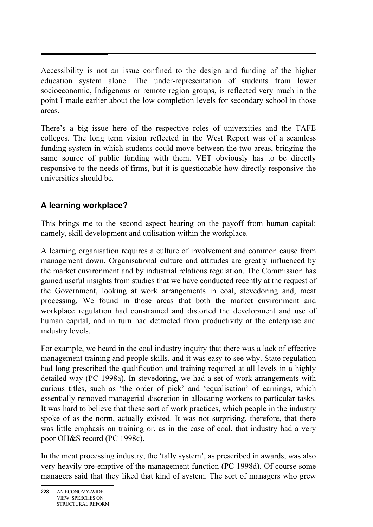Accessibility is not an issue confined to the design and funding of the higher education system alone. The under-representation of students from lower socioeconomic, Indigenous or remote region groups, is reflected very much in the point I made earlier about the low completion levels for secondary school in those areas.

There's a big issue here of the respective roles of universities and the TAFE colleges. The long term vision reflected in the West Report was of a seamless funding system in which students could move between the two areas, bringing the same source of public funding with them. VET obviously has to be directly responsive to the needs of firms, but it is questionable how directly responsive the universities should be.

#### **A learning workplace?**

This brings me to the second aspect bearing on the payoff from human capital: namely, skill development and utilisation within the workplace.

A learning organisation requires a culture of involvement and common cause from management down. Organisational culture and attitudes are greatly influenced by the market environment and by industrial relations regulation. The Commission has gained useful insights from studies that we have conducted recently at the request of the Government, looking at work arrangements in coal, stevedoring and, meat processing. We found in those areas that both the market environment and workplace regulation had constrained and distorted the development and use of human capital, and in turn had detracted from productivity at the enterprise and industry levels.

For example, we heard in the coal industry inquiry that there was a lack of effective management training and people skills, and it was easy to see why. State regulation had long prescribed the qualification and training required at all levels in a highly detailed way (PC 1998a). In stevedoring, we had a set of work arrangements with curious titles, such as 'the order of pick' and 'equalisation' of earnings, which essentially removed managerial discretion in allocating workers to particular tasks. It was hard to believe that these sort of work practices, which people in the industry spoke of as the norm, actually existed. It was not surprising, therefore, that there was little emphasis on training or, as in the case of coal, that industry had a very poor OH&S record (PC 1998c).

In the meat processing industry, the 'tally system', as prescribed in awards, was also very heavily pre-emptive of the management function (PC 1998d). Of course some managers said that they liked that kind of system. The sort of managers who grew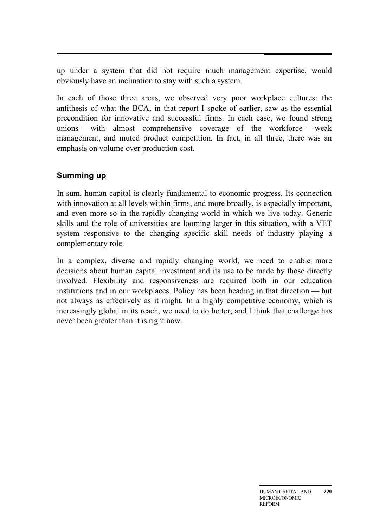up under a system that did not require much management expertise, would obviously have an inclination to stay with such a system.

In each of those three areas, we observed very poor workplace cultures: the antithesis of what the BCA, in that report I spoke of earlier, saw as the essential precondition for innovative and successful firms. In each case, we found strong unions — with almost comprehensive coverage of the workforce — weak management, and muted product competition. In fact, in all three, there was an emphasis on volume over production cost.

#### **Summing up**

In sum, human capital is clearly fundamental to economic progress. Its connection with innovation at all levels within firms, and more broadly, is especially important, and even more so in the rapidly changing world in which we live today. Generic skills and the role of universities are looming larger in this situation, with a VET system responsive to the changing specific skill needs of industry playing a complementary role.

In a complex, diverse and rapidly changing world, we need to enable more decisions about human capital investment and its use to be made by those directly involved. Flexibility and responsiveness are required both in our education institutions and in our workplaces. Policy has been heading in that direction — but not always as effectively as it might. In a highly competitive economy, which is increasingly global in its reach, we need to do better; and I think that challenge has never been greater than it is right now.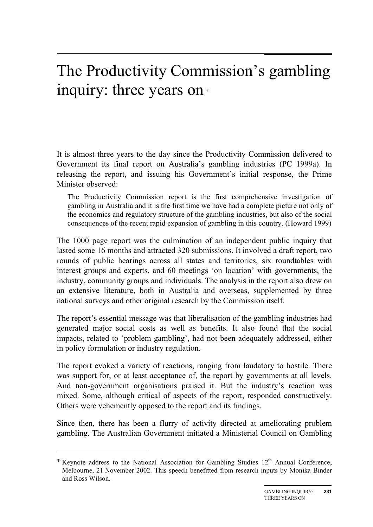### The Productivity Commission's gambling inquiry: three years on<sup>∗</sup>

It is almost three years to the day since the Productivity Commission delivered to Government its final report on Australia's gambling industries (PC 1999a). In releasing the report, and issuing his Government's initial response, the Prime Minister observed:

The Productivity Commission report is the first comprehensive investigation of gambling in Australia and it is the first time we have had a complete picture not only of the economics and regulatory structure of the gambling industries, but also of the social consequences of the recent rapid expansion of gambling in this country. (Howard 1999)

The 1000 page report was the culmination of an independent public inquiry that lasted some 16 months and attracted 320 submissions. It involved a draft report, two rounds of public hearings across all states and territories, six roundtables with interest groups and experts, and 60 meetings 'on location' with governments, the industry, community groups and individuals. The analysis in the report also drew on an extensive literature, both in Australia and overseas, supplemented by three national surveys and other original research by the Commission itself.

The report's essential message was that liberalisation of the gambling industries had generated major social costs as well as benefits. It also found that the social impacts, related to 'problem gambling', had not been adequately addressed, either in policy formulation or industry regulation.

The report evoked a variety of reactions, ranging from laudatory to hostile. There was support for, or at least acceptance of, the report by governments at all levels. And non-government organisations praised it. But the industry's reaction was mixed. Some, although critical of aspects of the report, responded constructively. Others were vehemently opposed to the report and its findings.

Since then, there has been a flurry of activity directed at ameliorating problem gambling. The Australian Government initiated a Ministerial Council on Gambling

 $\overline{a}$ 

 $*$  Keynote address to the National Association for Gambling Studies  $12<sup>th</sup>$  Annual Conference, Melbourne, 21 November 2002. This speech benefitted from research inputs by Monika Binder and Ross Wilson.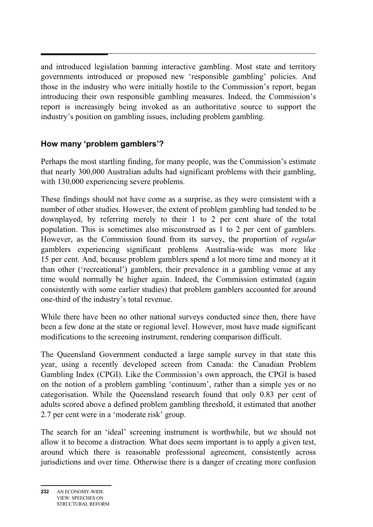and introduced legislation banning interactive gambling. Most state and territory governments introduced or proposed new 'responsible gambling' policies. And those in the industry who were initially hostile to the Commission's report, began introducing their own responsible gambling measures. Indeed, the Commission's report is increasingly being invoked as an authoritative source to support the industry's position on gambling issues, including problem gambling.

#### **How many 'problem gamblers'?**

Perhaps the most startling finding, for many people, was the Commission's estimate that nearly 300,000 Australian adults had significant problems with their gambling, with 130,000 experiencing severe problems.

These findings should not have come as a surprise, as they were consistent with a number of other studies. However, the extent of problem gambling had tended to be downplayed, by referring merely to their 1 to 2 per cent share of the total population. This is sometimes also misconstrued as 1 to 2 per cent of gamblers. However, as the Commission found from its survey, the proportion of *regular* gamblers experiencing significant problems Australia-wide was more like 15 per cent. And, because problem gamblers spend a lot more time and money at it than other ('recreational') gamblers, their prevalence in a gambling venue at any time would normally be higher again. Indeed, the Commission estimated (again consistently with some earlier studies) that problem gamblers accounted for around one-third of the industry's total revenue.

While there have been no other national surveys conducted since then, there have been a few done at the state or regional level. However, most have made significant modifications to the screening instrument, rendering comparison difficult.

The Queensland Government conducted a large sample survey in that state this year, using a recently developed screen from Canada: the Canadian Problem Gambling Index (CPGI). Like the Commission's own approach, the CPGI is based on the notion of a problem gambling 'continuum', rather than a simple yes or no categorisation. While the Queensland research found that only 0.83 per cent of adults scored above a defined problem gambling threshold, it estimated that another 2.7 per cent were in a 'moderate risk' group.

The search for an 'ideal' screening instrument is worthwhile, but we should not allow it to become a distraction. What does seem important is to apply a given test, around which there is reasonable professional agreement, consistently across jurisdictions and over time. Otherwise there is a danger of creating more confusion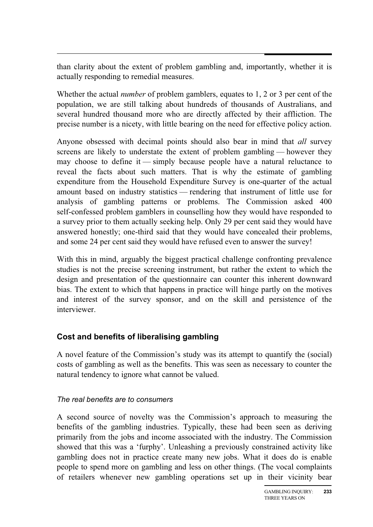than clarity about the extent of problem gambling and, importantly, whether it is actually responding to remedial measures.

Whether the actual *number* of problem gamblers, equates to 1, 2 or 3 per cent of the population, we are still talking about hundreds of thousands of Australians, and several hundred thousand more who are directly affected by their affliction. The precise number is a nicety, with little bearing on the need for effective policy action.

Anyone obsessed with decimal points should also bear in mind that *all* survey screens are likely to understate the extent of problem gambling — however they may choose to define it — simply because people have a natural reluctance to reveal the facts about such matters. That is why the estimate of gambling expenditure from the Household Expenditure Survey is one-quarter of the actual amount based on industry statistics — rendering that instrument of little use for analysis of gambling patterns or problems. The Commission asked 400 self-confessed problem gamblers in counselling how they would have responded to a survey prior to them actually seeking help. Only 29 per cent said they would have answered honestly; one-third said that they would have concealed their problems, and some 24 per cent said they would have refused even to answer the survey!

With this in mind, arguably the biggest practical challenge confronting prevalence studies is not the precise screening instrument, but rather the extent to which the design and presentation of the questionnaire can counter this inherent downward bias. The extent to which that happens in practice will hinge partly on the motives and interest of the survey sponsor, and on the skill and persistence of the interviewer.

#### **Cost and benefits of liberalising gambling**

A novel feature of the Commission's study was its attempt to quantify the (social) costs of gambling as well as the benefits. This was seen as necessary to counter the natural tendency to ignore what cannot be valued.

#### *The real benefits are to consumers*

A second source of novelty was the Commission's approach to measuring the benefits of the gambling industries. Typically, these had been seen as deriving primarily from the jobs and income associated with the industry. The Commission showed that this was a 'furphy'. Unleashing a previously constrained activity like gambling does not in practice create many new jobs. What it does do is enable people to spend more on gambling and less on other things. (The vocal complaints of retailers whenever new gambling operations set up in their vicinity bear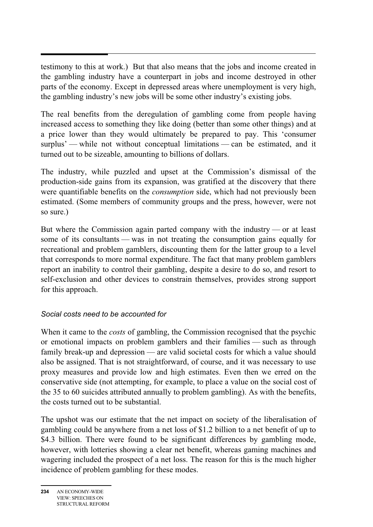testimony to this at work.) But that also means that the jobs and income created in the gambling industry have a counterpart in jobs and income destroyed in other parts of the economy. Except in depressed areas where unemployment is very high, the gambling industry's new jobs will be some other industry's existing jobs.

The real benefits from the deregulation of gambling come from people having increased access to something they like doing (better than some other things) and at a price lower than they would ultimately be prepared to pay. This 'consumer surplus' — while not without conceptual limitations — can be estimated, and it turned out to be sizeable, amounting to billions of dollars.

The industry, while puzzled and upset at the Commission's dismissal of the production-side gains from its expansion, was gratified at the discovery that there were quantifiable benefits on the *consumption* side, which had not previously been estimated. (Some members of community groups and the press, however, were not so sure.)

But where the Commission again parted company with the industry — or at least some of its consultants — was in not treating the consumption gains equally for recreational and problem gamblers, discounting them for the latter group to a level that corresponds to more normal expenditure. The fact that many problem gamblers report an inability to control their gambling, despite a desire to do so, and resort to self-exclusion and other devices to constrain themselves, provides strong support for this approach.

#### *Social costs need to be accounted for*

When it came to the *costs* of gambling, the Commission recognised that the psychic or emotional impacts on problem gamblers and their families — such as through family break-up and depression — are valid societal costs for which a value should also be assigned. That is not straightforward, of course, and it was necessary to use proxy measures and provide low and high estimates. Even then we erred on the conservative side (not attempting, for example, to place a value on the social cost of the 35 to 60 suicides attributed annually to problem gambling). As with the benefits, the costs turned out to be substantial.

The upshot was our estimate that the net impact on society of the liberalisation of gambling could be anywhere from a net loss of \$1.2 billion to a net benefit of up to \$4.3 billion. There were found to be significant differences by gambling mode, however, with lotteries showing a clear net benefit, whereas gaming machines and wagering included the prospect of a net loss. The reason for this is the much higher incidence of problem gambling for these modes.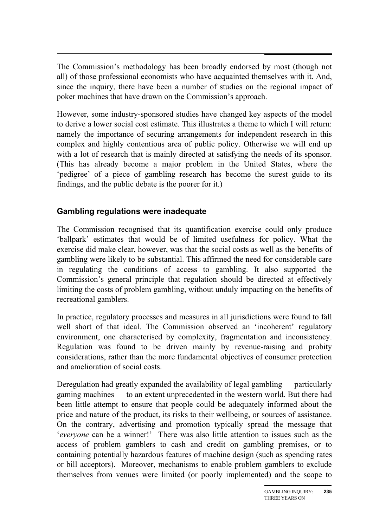$\overline{a}$ The Commission's methodology has been broadly endorsed by most (though not all) of those professional economists who have acquainted themselves with it. And, since the inquiry, there have been a number of studies on the regional impact of poker machines that have drawn on the Commission's approach.

However, some industry-sponsored studies have changed key aspects of the model to derive a lower social cost estimate. This illustrates a theme to which I will return: namely the importance of securing arrangements for independent research in this complex and highly contentious area of public policy. Otherwise we will end up with a lot of research that is mainly directed at satisfying the needs of its sponsor. (This has already become a major problem in the United States, where the 'pedigree' of a piece of gambling research has become the surest guide to its findings, and the public debate is the poorer for it.)

#### **Gambling regulations were inadequate**

The Commission recognised that its quantification exercise could only produce 'ballpark' estimates that would be of limited usefulness for policy. What the exercise did make clear, however, was that the social costs as well as the benefits of gambling were likely to be substantial. This affirmed the need for considerable care in regulating the conditions of access to gambling. It also supported the Commission's general principle that regulation should be directed at effectively limiting the costs of problem gambling, without unduly impacting on the benefits of recreational gamblers.

In practice, regulatory processes and measures in all jurisdictions were found to fall well short of that ideal. The Commission observed an 'incoherent' regulatory environment, one characterised by complexity, fragmentation and inconsistency. Regulation was found to be driven mainly by revenue-raising and probity considerations, rather than the more fundamental objectives of consumer protection and amelioration of social costs.

Deregulation had greatly expanded the availability of legal gambling — particularly gaming machines — to an extent unprecedented in the western world. But there had been little attempt to ensure that people could be adequately informed about the price and nature of the product, its risks to their wellbeing, or sources of assistance. On the contrary, advertising and promotion typically spread the message that '*everyone* can be a winner!' There was also little attention to issues such as the access of problem gamblers to cash and credit on gambling premises, or to containing potentially hazardous features of machine design (such as spending rates or bill acceptors). Moreover, mechanisms to enable problem gamblers to exclude themselves from venues were limited (or poorly implemented) and the scope to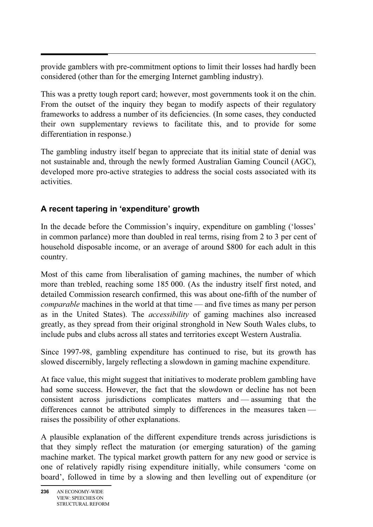provide gamblers with pre-commitment options to limit their losses had hardly been considered (other than for the emerging Internet gambling industry).

This was a pretty tough report card; however, most governments took it on the chin. From the outset of the inquiry they began to modify aspects of their regulatory frameworks to address a number of its deficiencies. (In some cases, they conducted their own supplementary reviews to facilitate this, and to provide for some differentiation in response.)

The gambling industry itself began to appreciate that its initial state of denial was not sustainable and, through the newly formed Australian Gaming Council (AGC), developed more pro-active strategies to address the social costs associated with its activities.

### **A recent tapering in 'expenditure' growth**

In the decade before the Commission's inquiry, expenditure on gambling ('losses' in common parlance) more than doubled in real terms, rising from 2 to 3 per cent of household disposable income, or an average of around \$800 for each adult in this country.

Most of this came from liberalisation of gaming machines, the number of which more than trebled, reaching some 185 000. (As the industry itself first noted, and detailed Commission research confirmed, this was about one-fifth of the number of *comparable* machines in the world at that time — and five times as many per person as in the United States). The *accessibility* of gaming machines also increased greatly, as they spread from their original stronghold in New South Wales clubs, to include pubs and clubs across all states and territories except Western Australia.

Since 1997-98, gambling expenditure has continued to rise, but its growth has slowed discernibly, largely reflecting a slowdown in gaming machine expenditure.

At face value, this might suggest that initiatives to moderate problem gambling have had some success. However, the fact that the slowdown or decline has not been consistent across jurisdictions complicates matters and — assuming that the differences cannot be attributed simply to differences in the measures taken raises the possibility of other explanations.

A plausible explanation of the different expenditure trends across jurisdictions is that they simply reflect the maturation (or emerging saturation) of the gaming machine market. The typical market growth pattern for any new good or service is one of relatively rapidly rising expenditure initially, while consumers 'come on board', followed in time by a slowing and then levelling out of expenditure (or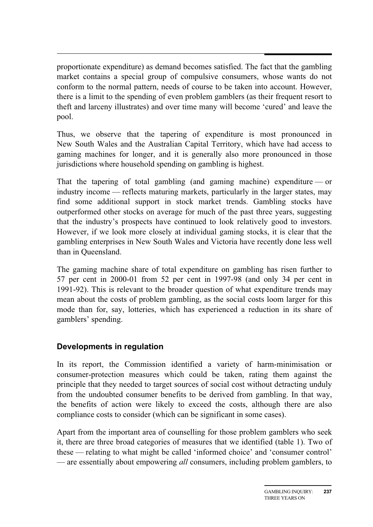proportionate expenditure) as demand becomes satisfied. The fact that the gambling market contains a special group of compulsive consumers, whose wants do not conform to the normal pattern, needs of course to be taken into account. However, there is a limit to the spending of even problem gamblers (as their frequent resort to theft and larceny illustrates) and over time many will become 'cured' and leave the pool.

Thus, we observe that the tapering of expenditure is most pronounced in New South Wales and the Australian Capital Territory, which have had access to gaming machines for longer, and it is generally also more pronounced in those jurisdictions where household spending on gambling is highest.

That the tapering of total gambling (and gaming machine) expenditure — or industry income — reflects maturing markets, particularly in the larger states, may find some additional support in stock market trends. Gambling stocks have outperformed other stocks on average for much of the past three years, suggesting that the industry's prospects have continued to look relatively good to investors. However, if we look more closely at individual gaming stocks, it is clear that the gambling enterprises in New South Wales and Victoria have recently done less well than in Queensland.

The gaming machine share of total expenditure on gambling has risen further to 57 per cent in 2000-01 from 52 per cent in 1997-98 (and only 34 per cent in 1991-92). This is relevant to the broader question of what expenditure trends may mean about the costs of problem gambling, as the social costs loom larger for this mode than for, say, lotteries, which has experienced a reduction in its share of gamblers' spending.

#### **Developments in regulation**

In its report, the Commission identified a variety of harm-minimisation or consumer-protection measures which could be taken, rating them against the principle that they needed to target sources of social cost without detracting unduly from the undoubted consumer benefits to be derived from gambling. In that way, the benefits of action were likely to exceed the costs, although there are also compliance costs to consider (which can be significant in some cases).

Apart from the important area of counselling for those problem gamblers who seek it, there are three broad categories of measures that we identified (table 1). Two of these — relating to what might be called 'informed choice' and 'consumer control' — are essentially about empowering *all* consumers, including problem gamblers, to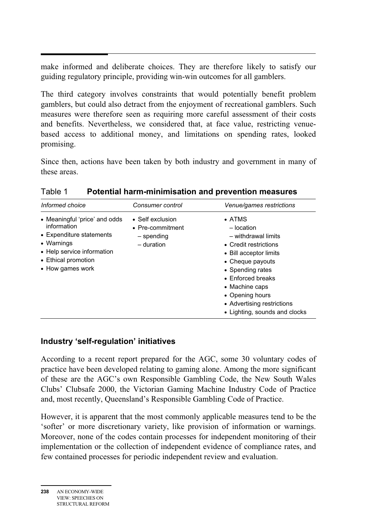make informed and deliberate choices. They are therefore likely to satisfy our guiding regulatory principle, providing win-win outcomes for all gamblers.

The third category involves constraints that would potentially benefit problem gamblers, but could also detract from the enjoyment of recreational gamblers. Such measures were therefore seen as requiring more careful assessment of their costs and benefits. Nevertheless, we considered that, at face value, restricting venuebased access to additional money, and limitations on spending rates, looked promising.

Since then, actions have been taken by both industry and government in many of these areas.

| Informed choice                                                                                                                                                 | Consumer control                                                 | Venue/games restrictions                                                                                                                                                                                                                                                |
|-----------------------------------------------------------------------------------------------------------------------------------------------------------------|------------------------------------------------------------------|-------------------------------------------------------------------------------------------------------------------------------------------------------------------------------------------------------------------------------------------------------------------------|
| • Meaningful 'price' and odds<br>information<br>• Expenditure statements<br>• Warnings<br>• Help service information<br>• Ethical promotion<br>• How games work | • Self exclusion<br>• Pre-commitment<br>– spending<br>- duration | $\bullet$ ATMS<br>- location<br>- withdrawal limits<br>• Credit restrictions<br>• Bill acceptor limits<br>• Cheque payouts<br>• Spending rates<br>• Enforced breaks<br>• Machine caps<br>• Opening hours<br>• Advertising restrictions<br>• Lighting, sounds and clocks |

Table 1 **Potential harm-minimisation and prevention measures** 

#### **Industry 'self-regulation' initiatives**

According to a recent report prepared for the AGC, some 30 voluntary codes of practice have been developed relating to gaming alone. Among the more significant of these are the AGC's own Responsible Gambling Code, the New South Wales Clubs' Clubsafe 2000, the Victorian Gaming Machine Industry Code of Practice and, most recently, Queensland's Responsible Gambling Code of Practice.

However, it is apparent that the most commonly applicable measures tend to be the 'softer' or more discretionary variety, like provision of information or warnings. Moreover, none of the codes contain processes for independent monitoring of their implementation or the collection of independent evidence of compliance rates, and few contained processes for periodic independent review and evaluation.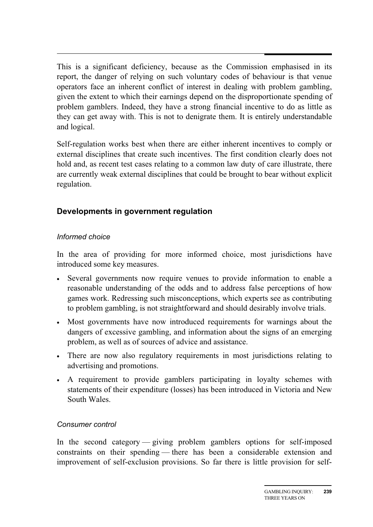$\overline{a}$ This is a significant deficiency, because as the Commission emphasised in its report, the danger of relying on such voluntary codes of behaviour is that venue operators face an inherent conflict of interest in dealing with problem gambling, given the extent to which their earnings depend on the disproportionate spending of problem gamblers. Indeed, they have a strong financial incentive to do as little as they can get away with. This is not to denigrate them. It is entirely understandable and logical.

Self-regulation works best when there are either inherent incentives to comply or external disciplines that create such incentives. The first condition clearly does not hold and, as recent test cases relating to a common law duty of care illustrate, there are currently weak external disciplines that could be brought to bear without explicit regulation.

#### **Developments in government regulation**

#### *Informed choice*

In the area of providing for more informed choice, most jurisdictions have introduced some key measures.

- Several governments now require venues to provide information to enable a reasonable understanding of the odds and to address false perceptions of how games work. Redressing such misconceptions, which experts see as contributing to problem gambling, is not straightforward and should desirably involve trials.
- Most governments have now introduced requirements for warnings about the dangers of excessive gambling, and information about the signs of an emerging problem, as well as of sources of advice and assistance.
- There are now also regulatory requirements in most jurisdictions relating to advertising and promotions.
- A requirement to provide gamblers participating in loyalty schemes with statements of their expenditure (losses) has been introduced in Victoria and New South Wales.

#### *Consumer control*

In the second category — giving problem gamblers options for self-imposed constraints on their spending — there has been a considerable extension and improvement of self-exclusion provisions. So far there is little provision for self-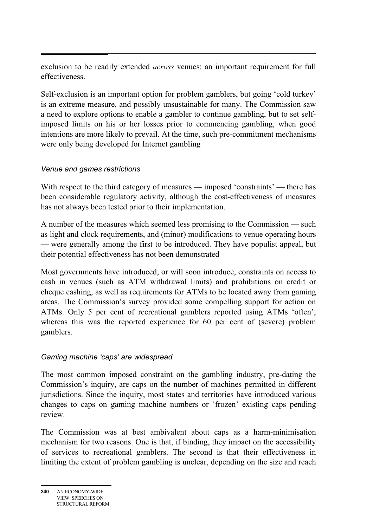exclusion to be readily extended *across* venues: an important requirement for full effectiveness.

Self-exclusion is an important option for problem gamblers, but going 'cold turkey' is an extreme measure, and possibly unsustainable for many. The Commission saw a need to explore options to enable a gambler to continue gambling, but to set selfimposed limits on his or her losses prior to commencing gambling, when good intentions are more likely to prevail. At the time, such pre-commitment mechanisms were only being developed for Internet gambling

#### *Venue and games restrictions*

With respect to the third category of measures — imposed 'constraints' — there has been considerable regulatory activity, although the cost-effectiveness of measures has not always been tested prior to their implementation.

A number of the measures which seemed less promising to the Commission — such as light and clock requirements, and (minor) modifications to venue operating hours — were generally among the first to be introduced. They have populist appeal, but their potential effectiveness has not been demonstrated

Most governments have introduced, or will soon introduce, constraints on access to cash in venues (such as ATM withdrawal limits) and prohibitions on credit or cheque cashing, as well as requirements for ATMs to be located away from gaming areas. The Commission's survey provided some compelling support for action on ATMs. Only 5 per cent of recreational gamblers reported using ATMs 'often', whereas this was the reported experience for 60 per cent of (severe) problem gamblers.

#### *Gaming machine 'caps' are widespread*

The most common imposed constraint on the gambling industry, pre-dating the Commission's inquiry, are caps on the number of machines permitted in different jurisdictions. Since the inquiry, most states and territories have introduced various changes to caps on gaming machine numbers or 'frozen' existing caps pending review.

The Commission was at best ambivalent about caps as a harm-minimisation mechanism for two reasons. One is that, if binding, they impact on the accessibility of services to recreational gamblers. The second is that their effectiveness in limiting the extent of problem gambling is unclear, depending on the size and reach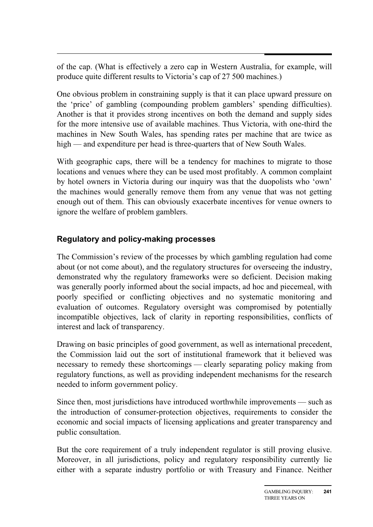of the cap. (What is effectively a zero cap in Western Australia, for example, will produce quite different results to Victoria's cap of 27 500 machines.)

One obvious problem in constraining supply is that it can place upward pressure on the 'price' of gambling (compounding problem gamblers' spending difficulties). Another is that it provides strong incentives on both the demand and supply sides for the more intensive use of available machines. Thus Victoria, with one-third the machines in New South Wales, has spending rates per machine that are twice as high — and expenditure per head is three-quarters that of New South Wales.

With geographic caps, there will be a tendency for machines to migrate to those locations and venues where they can be used most profitably. A common complaint by hotel owners in Victoria during our inquiry was that the duopolists who 'own' the machines would generally remove them from any venue that was not getting enough out of them. This can obviously exacerbate incentives for venue owners to ignore the welfare of problem gamblers.

#### **Regulatory and policy-making processes**

The Commission's review of the processes by which gambling regulation had come about (or not come about), and the regulatory structures for overseeing the industry, demonstrated why the regulatory frameworks were so deficient. Decision making was generally poorly informed about the social impacts, ad hoc and piecemeal, with poorly specified or conflicting objectives and no systematic monitoring and evaluation of outcomes. Regulatory oversight was compromised by potentially incompatible objectives, lack of clarity in reporting responsibilities, conflicts of interest and lack of transparency.

Drawing on basic principles of good government, as well as international precedent, the Commission laid out the sort of institutional framework that it believed was necessary to remedy these shortcomings — clearly separating policy making from regulatory functions, as well as providing independent mechanisms for the research needed to inform government policy.

Since then, most jurisdictions have introduced worthwhile improvements — such as the introduction of consumer-protection objectives, requirements to consider the economic and social impacts of licensing applications and greater transparency and public consultation.

But the core requirement of a truly independent regulator is still proving elusive. Moreover, in all jurisdictions, policy and regulatory responsibility currently lie either with a separate industry portfolio or with Treasury and Finance. Neither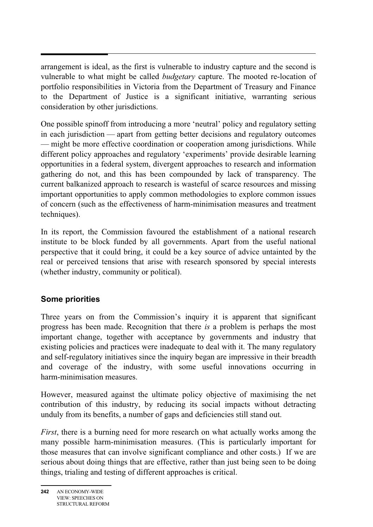arrangement is ideal, as the first is vulnerable to industry capture and the second is vulnerable to what might be called *budgetary* capture. The mooted re-location of portfolio responsibilities in Victoria from the Department of Treasury and Finance to the Department of Justice is a significant initiative, warranting serious consideration by other jurisdictions.

One possible spinoff from introducing a more 'neutral' policy and regulatory setting in each jurisdiction — apart from getting better decisions and regulatory outcomes — might be more effective coordination or cooperation among jurisdictions. While different policy approaches and regulatory 'experiments' provide desirable learning opportunities in a federal system, divergent approaches to research and information gathering do not, and this has been compounded by lack of transparency. The current balkanized approach to research is wasteful of scarce resources and missing important opportunities to apply common methodologies to explore common issues of concern (such as the effectiveness of harm-minimisation measures and treatment techniques).

In its report, the Commission favoured the establishment of a national research institute to be block funded by all governments. Apart from the useful national perspective that it could bring, it could be a key source of advice untainted by the real or perceived tensions that arise with research sponsored by special interests (whether industry, community or political).

#### **Some priorities**

Three years on from the Commission's inquiry it is apparent that significant progress has been made. Recognition that there *is* a problem is perhaps the most important change, together with acceptance by governments and industry that existing policies and practices were inadequate to deal with it. The many regulatory and self-regulatory initiatives since the inquiry began are impressive in their breadth and coverage of the industry, with some useful innovations occurring in harm-minimisation measures.

However, measured against the ultimate policy objective of maximising the net contribution of this industry, by reducing its social impacts without detracting unduly from its benefits, a number of gaps and deficiencies still stand out.

*First*, there is a burning need for more research on what actually works among the many possible harm-minimisation measures. (This is particularly important for those measures that can involve significant compliance and other costs.) If we are serious about doing things that are effective, rather than just being seen to be doing things, trialing and testing of different approaches is critical.